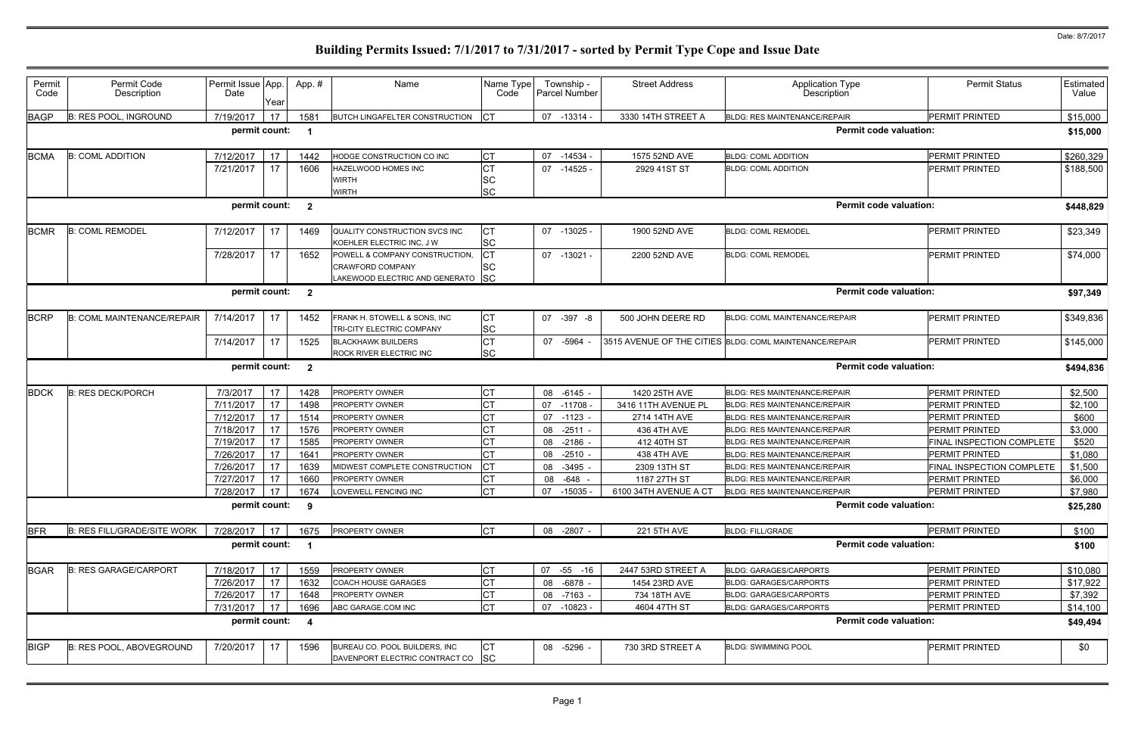| Permit<br>Code | Permit Code<br>Description         | Permit Issue App.<br>Date | Year       | App.#                   | Name                                                                                           | Name Type<br>Code                   |    | Township -<br>Parcel Number | <b>Street Address</b> | <b>Application Type</b><br>Description                  | <b>Permit Status</b>      | <b>Estimated</b><br>Value |
|----------------|------------------------------------|---------------------------|------------|-------------------------|------------------------------------------------------------------------------------------------|-------------------------------------|----|-----------------------------|-----------------------|---------------------------------------------------------|---------------------------|---------------------------|
| <b>BAGP</b>    | <b>B: RES POOL, INGROUND</b>       | 7/19/2017                 | 17         | 1581                    | <b>BUTCH LINGAFELTER CONSTRUCTION</b>                                                          |                                     |    | 07 -13314 -                 | 3330 14TH STREET A    | <b>BLDG: RES MAINTENANCE/REPAIR</b>                     | PERMIT PRINTED            | \$15,000                  |
|                |                                    | permit count:             |            | - 1                     |                                                                                                |                                     |    |                             |                       | <b>Permit code valuation:</b>                           |                           | \$15,000                  |
| <b>BCMA</b>    | <b>B: COML ADDITION</b>            | 7/12/2017                 | 17         | 1442                    | HODGE CONSTRUCTION CO INC                                                                      | Iст                                 |    | 07 -14534 -                 | 1575 52ND AVE         | <b>BLDG: COML ADDITION</b>                              | <b>PERMIT PRINTED</b>     | \$260,329                 |
|                |                                    | 7/21/2017                 | 17         | 1606                    | HAZELWOOD HOMES INC<br><b>WIRTH</b><br><b>WIRTH</b>                                            | <b>CT</b><br><b>SC</b><br><b>SC</b> |    | $07 - 14525$                | 2929 41ST ST          | <b>BLDG: COML ADDITION</b>                              | <b>PERMIT PRINTED</b>     | \$188,500                 |
|                |                                    | permit count:             |            | $\overline{\mathbf{2}}$ |                                                                                                |                                     |    |                             |                       | <b>Permit code valuation:</b>                           |                           | \$448,829                 |
| <b>BCMR</b>    | <b>B: COML REMODEL</b>             | 7/12/2017                 | 17         | 1469                    | QUALITY CONSTRUCTION SVCS INC<br>KOEHLER ELECTRIC INC, J W                                     | СT<br><b>SC</b>                     |    | $07 - 13025$                | 1900 52ND AVE         | <b>BLDG: COML REMODEL</b>                               | <b>PERMIT PRINTED</b>     | \$23,349                  |
|                |                                    | 7/28/2017                 | 17         | 1652                    | POWELL & COMPANY CONSTRUCTION,<br><b>CRAWFORD COMPANY</b><br>LAKEWOOD ELECTRIC AND GENERATO SC | СT<br>SC                            |    | 07 -13021 -                 | 2200 52ND AVE         | <b>BLDG: COML REMODEL</b>                               | <b>PERMIT PRINTED</b>     | \$74,000                  |
|                |                                    | permit count:             |            | $\overline{\mathbf{2}}$ |                                                                                                |                                     |    |                             |                       | <b>Permit code valuation:</b>                           |                           | \$97,349                  |
| <b>BCRP</b>    | <b>B: COML MAINTENANCE/REPAIR</b>  | 7/14/2017                 | 17         | 1452                    | FRANK H. STOWELL & SONS, INC<br>TRI-CITY ELECTRIC COMPANY                                      | IСТ<br><b>SC</b>                    |    | 07 -397 -8                  | 500 JOHN DEERE RD     | <b>BLDG: COML MAINTENANCE/REPAIR</b>                    | <b>PERMIT PRINTED</b>     | \$349,836                 |
|                |                                    | 7/14/2017                 | 17         | 1525                    | <b>BLACKHAWK BUILDERS</b><br>ROCK RIVER ELECTRIC INC                                           | <b>CT</b><br><b>SC</b>              |    | 07 -5964                    |                       | 3515 AVENUE OF THE CITIES BLDG: COML MAINTENANCE/REPAIR | PERMIT PRINTED            | \$145,000                 |
|                |                                    | permit count:             |            | $\overline{\mathbf{2}}$ |                                                                                                |                                     |    |                             |                       | <b>Permit code valuation:</b>                           |                           | \$494,836                 |
| <b>BDCK</b>    | <b>B: RES DECK/PORCH</b>           | 7/3/2017                  | 17         | 1428                    | PROPERTY OWNER                                                                                 |                                     |    | 08 -6145                    | 1420 25TH AVE         | <b>BLDG: RES MAINTENANCE/REPAIR</b>                     | PERMIT PRINTED            | \$2,500                   |
|                |                                    | 7/11/2017                 | 17         | 1498                    | PROPERTY OWNER                                                                                 | СT                                  |    | 07 -11708                   | 3416 11TH AVENUE PL   | <b>BLDG: RES MAINTENANCE/REPAIR</b>                     | PERMIT PRINTED            | \$2,100                   |
|                |                                    | 7/12/2017                 | 17         | 1514                    | <b>PROPERTY OWNER</b>                                                                          |                                     |    | 07 -1123 -                  | 2714 14TH AVE         | <b>BLDG: RES MAINTENANCE/REPAIR</b>                     | <b>PERMIT PRINTED</b>     | \$600                     |
|                |                                    | 7/18/2017                 | 17         | 1576                    | <b>PROPERTY OWNER</b>                                                                          |                                     |    | 08 -2511 -                  | 436 4TH AVE           | <b>BLDG: RES MAINTENANCE/REPAIR</b>                     | <b>PERMIT PRINTED</b>     | \$3,000                   |
|                |                                    | 7/19/2017                 | 17         | 1585                    | <b>PROPERTY OWNER</b>                                                                          |                                     | 08 | -2186                       | 412 40TH ST           | <b>BLDG: RES MAINTENANCE/REPAIR</b>                     | FINAL INSPECTION COMPLETE | \$520                     |
|                |                                    | 7/26/2017                 | 17         | 164'                    | <b>PROPERTY OWNER</b>                                                                          |                                     | 08 | $-2510$                     | 438 4TH AVE           | <b>BLDG: RES MAINTENANCE/REPAIR</b>                     | PERMIT PRINTED            | \$1,080                   |
|                |                                    | 7/26/2017                 | 17         | 1639                    | MIDWEST COMPLETE CONSTRUCTION                                                                  |                                     | 08 | -3495                       | 2309 13TH ST          | <b>BLDG: RES MAINTENANCE/REPAIR</b>                     | FINAL INSPECTION COMPLETE | \$1,500                   |
|                |                                    | 7/27/2017                 | 17         | 1660                    | <b>PROPERTY OWNER</b>                                                                          |                                     |    | 08 - 648 -                  | 1187 27TH ST          | <b>BLDG: RES MAINTENANCE/REPAIR</b>                     | PERMIT PRINTED            | \$6,000                   |
|                |                                    |                           |            |                         | 7/28/2017   17   1674   LOVEWELL FENCING INC                                                   | <b>CT</b>                           |    | 07 -15035 -                 | 6100 34TH AVENUE A CT | BLDG: RES MAINTENANCE/REPAIR                            | <b>PERMIT PRINTED</b>     | \$7,980                   |
|                |                                    | permit count:             |            | 9                       |                                                                                                |                                     |    |                             |                       | <b>Permit code valuation:</b>                           |                           | \$25,280                  |
| <b>BFR</b>     | <b>B: RES FILL/GRADE/SITE WORK</b> | 7/28/2017                 | $\vert$ 17 | 1675                    | PROPERTY OWNER                                                                                 | CT                                  |    | 08 -2807 -                  | 221 5TH AVE           | <b>BLDG: FILL/GRADE</b>                                 | PERMIT PRINTED            | \$100                     |
|                |                                    | permit count:             |            | $\overline{\mathbf{1}}$ |                                                                                                |                                     |    |                             |                       | <b>Permit code valuation:</b>                           |                           | \$100                     |
| <b>BGAR</b>    | <b>B: RES GARAGE/CARPORT</b>       | 7/18/2017                 | 17         | 1559                    | PROPERTY OWNER                                                                                 | СT                                  | 07 | -55 -16                     | 2447 53RD STREET A    | <b>BLDG: GARAGES/CARPORTS</b>                           | PERMIT PRINTED            | \$10,080                  |
|                |                                    | 7/26/2017                 | 17         | 1632                    | COACH HOUSE GARAGES                                                                            |                                     |    | 08 - 6878 -                 | 1454 23RD AVE         | BLDG: GARAGES/CARPORTS                                  | PERMIT PRINTED            | \$17,922                  |
|                |                                    | 7/26/2017                 | 17         | 1648                    | PROPERTY OWNER                                                                                 |                                     |    | 08 -7163 -                  | 734 18TH AVE          | BLDG: GARAGES/CARPORTS                                  | PERMIT PRINTED            | \$7,392                   |
|                |                                    | 7/31/2017                 | 17         | 1696                    | ABC GARAGE.COM INC                                                                             | <b>CT</b>                           |    | 07 -10823 -                 | 4604 47TH ST          | <b>BLDG: GARAGES/CARPORTS</b>                           | PERMIT PRINTED            | \$14,100                  |
|                |                                    | permit count:             |            | $\overline{\mathbf{4}}$ |                                                                                                |                                     |    |                             |                       | <b>Permit code valuation:</b>                           |                           | \$49,494                  |
| <b>BIGP</b>    | B: RES POOL, ABOVEGROUND           | 7/20/2017                 | 17         | 1596                    | BUREAU CO. POOL BUILDERS, INC<br>DAVENPORT ELECTRIC CONTRACT CO SC                             | IСТ                                 |    | 08 -5296 -                  | 730 3RD STREET A      | <b>BLDG: SWIMMING POOL</b>                              | PERMIT PRINTED            | \$0                       |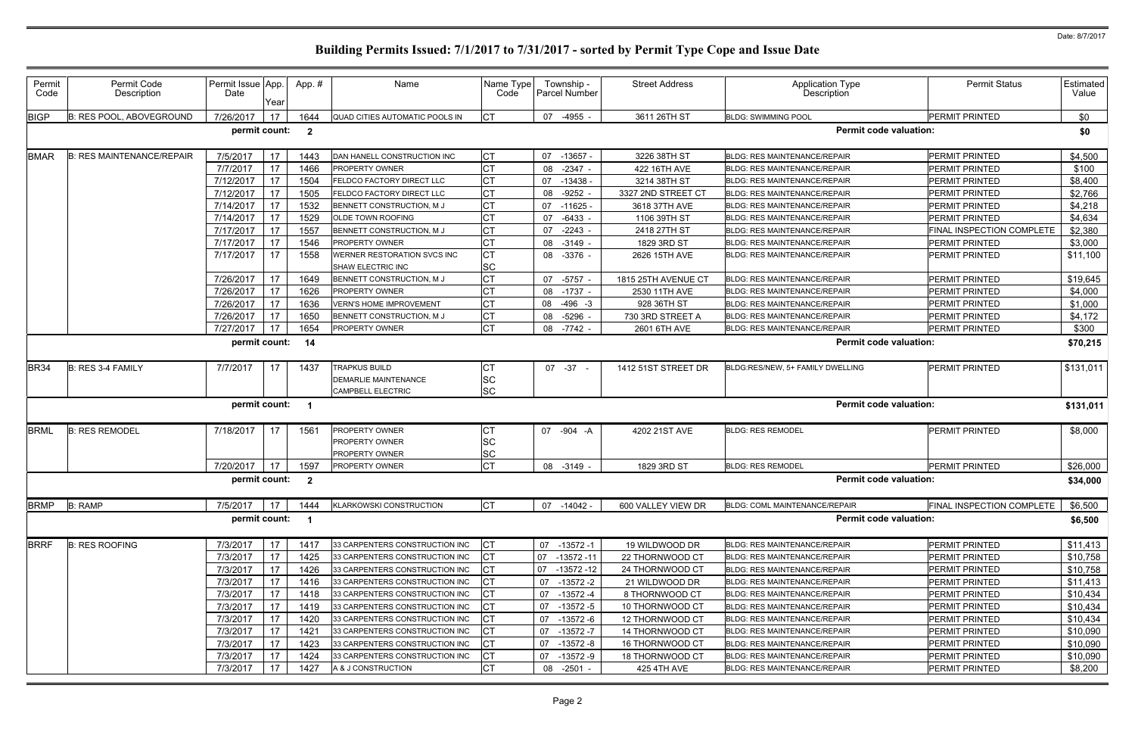| Permit<br>Code | Permit Code<br>Description       | Permit Issue App.<br>Date | Year            | App. #                  | Name                                                                            | Name Type<br>Code      | Township -<br>Parcel Number | <b>Street Address</b> | <b>Application Type</b><br><b>Description</b> | <b>Permit Status</b>             | Estimated<br>Value |
|----------------|----------------------------------|---------------------------|-----------------|-------------------------|---------------------------------------------------------------------------------|------------------------|-----------------------------|-----------------------|-----------------------------------------------|----------------------------------|--------------------|
| <b>BIGP</b>    | <b>B: RES POOL, ABOVEGROUND</b>  | 7/26/2017                 | 17              | 1644                    | QUAD CITIES AUTOMATIC POOLS IN                                                  | СT                     | 07<br>-4955 -               | 3611 26TH ST          | <b>BLDG: SWIMMING POOL</b>                    | <b>PERMIT PRINTED</b>            | \$0                |
|                |                                  | permit count:             |                 | $\overline{\mathbf{2}}$ |                                                                                 |                        |                             |                       | <b>Permit code valuation:</b>                 |                                  | \$0                |
| <b>BMAR</b>    | <b>B: RES MAINTENANCE/REPAIR</b> | 7/5/2017                  | 17 <sup>2</sup> | 1443                    | DAN HANELL CONSTRUCTION INC                                                     | <b>CT</b>              | $07 - 13657$                | 3226 38TH ST          | <b>BLDG: RES MAINTENANCE/REPAIR</b>           | PERMIT PRINTED                   | \$4,500            |
|                |                                  | 7/7/2017                  | 17              | 1466                    | <b>PROPERTY OWNER</b>                                                           |                        | -2347<br>08                 | 422 16TH AVE          | <b>BLDG: RES MAINTENANCE/REPAIR</b>           | <b>PERMIT PRINTED</b>            | \$100              |
|                |                                  | 7/12/2017                 | 17              | 1504                    | <b>FELDCO FACTORY DIRECT LLC</b>                                                |                        | $-13438$<br>07              | 3214 38TH ST          | <b>BLDG: RES MAINTENANCE/REPAIR</b>           | PERMIT PRINTED                   | \$8,400            |
|                |                                  | 7/12/2017                 | 17              | 1505                    | <b>FELDCO FACTORY DIRECT LLC</b>                                                | <b>CT</b>              | $-9252$<br>08               | 3327 2ND STREET CT    | <b>BLDG: RES MAINTENANCE/REPAIR</b>           | <b>PERMIT PRINTED</b>            | \$2,766            |
|                |                                  | 7/14/2017                 | 17              | 1532                    | BENNETT CONSTRUCTION, M J                                                       |                        | 07<br>$-11625$              | 3618 37TH AVE         | <b>BLDG: RES MAINTENANCE/REPAIR</b>           | <b>PERMIT PRINTED</b>            | \$4,218            |
|                |                                  | 7/14/2017                 | 17              | 1529                    | OLDE TOWN ROOFING                                                               | СT                     | -6433<br>07                 | 1106 39TH ST          | <b>BLDG: RES MAINTENANCE/REPAIR</b>           | <b>PERMIT PRINTED</b>            | \$4,634            |
|                |                                  | 7/17/2017                 | 17              | 1557                    | BENNETT CONSTRUCTION, M J                                                       |                        | 07<br>$-2243$               | 2418 27TH ST          | <b>BLDG: RES MAINTENANCE/REPAIR</b>           | <b>FINAL INSPECTION COMPLETE</b> | \$2,380            |
|                |                                  | 7/17/2017                 | 17              | 1546                    | <b>PROPERTY OWNER</b>                                                           |                        | 08 -3149                    | 1829 3RD ST           | <b>BLDG: RES MAINTENANCE/REPAIR</b>           | <b>PERMIT PRINTED</b>            | \$3,000            |
|                |                                  | 7/17/2017                 | 17              | 1558                    | WERNER RESTORATION SVCS INC<br><b>SHAW ELECTRIC INC</b>                         | CТ<br><b>SC</b>        | 08 -3376 -                  | 2626 15TH AVE         | <b>BLDG: RES MAINTENANCE/REPAIR</b>           | <b>PERMIT PRINTED</b>            | \$11,100           |
|                |                                  | 7/26/2017                 | 17              | 1649                    | BENNETT CONSTRUCTION, M J                                                       | СT                     | 07 -5757                    | 1815 25TH AVENUE CT   | <b>BLDG: RES MAINTENANCE/REPAIR</b>           | <b>PERMIT PRINTED</b>            | \$19,645           |
|                |                                  | 7/26/2017                 | 17              | 1626                    | PROPERTY OWNER                                                                  |                        | 08 -1737 -                  | 2530 11TH AVE         | <b>BLDG: RES MAINTENANCE/REPAIR</b>           | <b>PERMIT PRINTED</b>            | \$4,000            |
|                |                                  | 7/26/2017                 | 17              | 1636                    | <b>VERN'S HOME IMPROVEMENT</b>                                                  | СŢ                     | 08 -496 -3                  | 928 36TH ST           | <b>BLDG: RES MAINTENANCE/REPAIR</b>           | <b>PERMIT PRINTED</b>            | \$1,000            |
|                |                                  | 7/26/2017                 | 17              | 1650                    | BENNETT CONSTRUCTION, M J                                                       | CТ                     | -5296<br>08                 | 730 3RD STREET A      | <b>BLDG: RES MAINTENANCE/REPAIR</b>           | <b>PERMIT PRINTED</b>            | \$4,172            |
|                |                                  | 7/27/2017                 | 17              | 1654                    | <b>PROPERTY OWNER</b>                                                           | СT                     | 08 -7742                    | 2601 6TH AVE          | <b>BLDG: RES MAINTENANCE/REPAIR</b>           | PERMIT PRINTED                   | \$300              |
|                |                                  | permit count:             |                 | 14                      |                                                                                 |                        |                             |                       | <b>Permit code valuation:</b>                 |                                  | \$70,215           |
| <b>BR34</b>    | B: RES 3-4 FAMILY                | 7/7/2017                  | 17              | 1437                    | <b>TRAPKUS BUILD</b><br><b>DEMARLIE MAINTENANCE</b><br><b>CAMPBELL ELECTRIC</b> | <b>SC</b><br><b>SC</b> | 07 -37                      | 1412 51ST STREET DR   | BLDG:RES/NEW, 5+ FAMILY DWELLING              | <b>PERMIT PRINTED</b>            | \$131,011          |
|                |                                  | permit count:             |                 |                         |                                                                                 |                        |                             |                       | <b>Permit code valuation:</b>                 |                                  | \$131,011          |
| <b>BRML</b>    | <b>B: RES REMODEL</b>            | 7/18/2017                 | 17              | 1561                    | <b>PROPERTY OWNER</b><br><b>PROPERTY OWNER</b><br><b>PROPERTY OWNER</b>         | <b>SC</b><br><b>SC</b> | 07 -904 -A                  | 4202 21ST AVE         | <b>BLDG: RES REMODEL</b>                      | <b>PERMIT PRINTED</b>            | \$8,000            |
|                |                                  | 7/20/2017                 | 17              | 1597                    | PROPERTY OWNER                                                                  | <b>CT</b>              | 08 -3149 -                  | 1829 3RD ST           | <b>BLDG: RES REMODEL</b>                      | PERMIT PRINTED                   | \$26,000           |
|                |                                  | permit count:             |                 | $\overline{\mathbf{2}}$ |                                                                                 |                        |                             |                       | <b>Permit code valuation:</b>                 |                                  | \$34,000           |
| <b>BRMP</b>    | <b>B: RAMP</b>                   | 7/5/2017                  | 17              | 1444                    | <b>KLARKOWSKI CONSTRUCTION</b>                                                  | $ _{\rm CT}$           | 07 -14042 -                 | 600 VALLEY VIEW DR    | <b>BLDG: COML MAINTENANCE/REPAIR</b>          | FINAL INSPECTION COMPLETE        | \$6,500            |
|                |                                  | permit count:             |                 | - 1                     |                                                                                 |                        |                             |                       | <b>Permit code valuation:</b>                 |                                  | \$6,500            |
| <b>BRRF</b>    | <b>B: RES ROOFING</b>            | 7/3/2017                  | 17              | 1417                    | 33 CARPENTERS CONSTRUCTION INC                                                  |                        | 07 -13572 -1                | 19 WILDWOOD DR        | <b>BLDG: RES MAINTENANCE/REPAIR</b>           | <b>PERMIT PRINTED</b>            | \$11,413           |
|                |                                  | 7/3/2017                  | 17              | 1425                    | 33 CARPENTERS CONSTRUCTION INC                                                  |                        | 07<br>$-13572 - 11$         | 22 THORNWOOD CT       | <b>BLDG: RES MAINTENANCE/REPAIR</b>           | PERMIT PRINTED                   | \$10,758           |
|                |                                  | 7/3/2017                  | 17 <sup>2</sup> | 1426                    | 33 CARPENTERS CONSTRUCTION INC                                                  |                        | 07<br>$-13572 - 12$         | 24 THORNWOOD CT       | BLDG: RES MAINTENANCE/REPAIR                  | <b>PERMIT PRINTED</b>            | \$10,758           |
|                |                                  | 7/3/2017                  | 17              | 1416                    | 33 CARPENTERS CONSTRUCTION INC                                                  |                        | $-13572 - 2$<br>07          | 21 WILDWOOD DR        | <b>BLDG: RES MAINTENANCE/REPAIR</b>           | <b>PERMIT PRINTED</b>            | \$11,413           |
|                |                                  | 7/3/2017                  | 17              | 1418                    | 33 CARPENTERS CONSTRUCTION INC                                                  |                        | 07<br>-13572 -4             | 8 THORNWOOD CT        | <b>BLDG: RES MAINTENANCE/REPAIR</b>           | <b>PERMIT PRINTED</b>            | \$10,434           |
|                |                                  | 7/3/2017                  | 17              | 1419                    | 33 CARPENTERS CONSTRUCTION INC                                                  |                        | 07<br>$-13572-5$            | 10 THORNWOOD CT       | <b>BLDG: RES MAINTENANCE/REPAIR</b>           | PERMIT PRINTED                   | \$10,434           |
|                |                                  | 7/3/2017                  | 17              | 1420                    | 33 CARPENTERS CONSTRUCTION INC                                                  |                        | 07<br>-13572 -6             | 12 THORNWOOD CT       | <b>BLDG: RES MAINTENANCE/REPAIR</b>           | PERMIT PRINTED                   | \$10,434           |
|                |                                  | 7/3/2017                  | 17              | 1421                    | 33 CARPENTERS CONSTRUCTION INC                                                  |                        | 07<br>$-13572 - 7$          | 14 THORNWOOD CT       | <b>BLDG: RES MAINTENANCE/REPAIR</b>           | PERMIT PRINTED                   | \$10,090           |
|                |                                  | 7/3/2017                  | 17              | 1423                    | 33 CARPENTERS CONSTRUCTION INC                                                  |                        | $-13572 - 8$<br>07          | 16 THORNWOOD CT       | <b>BLDG: RES MAINTENANCE/REPAIR</b>           | <b>PERMIT PRINTED</b>            | \$10,090           |
|                |                                  | 7/3/2017                  | 17              | 1424                    | 33 CARPENTERS CONSTRUCTION INC                                                  |                        | 07 -13572 -9                | 18 THORNWOOD CT       | <b>BLDG: RES MAINTENANCE/REPAIR</b>           | <b>PERMIT PRINTED</b>            | \$10,090           |
|                |                                  | 7/3/2017                  | 17              | 1427                    | A & J CONSTRUCTION                                                              | СT                     | $-2501 -$<br>08             | 425 4TH AVE           | BLDG: RES MAINTENANCE/REPAIR                  | PERMIT PRINTED                   | \$8,200            |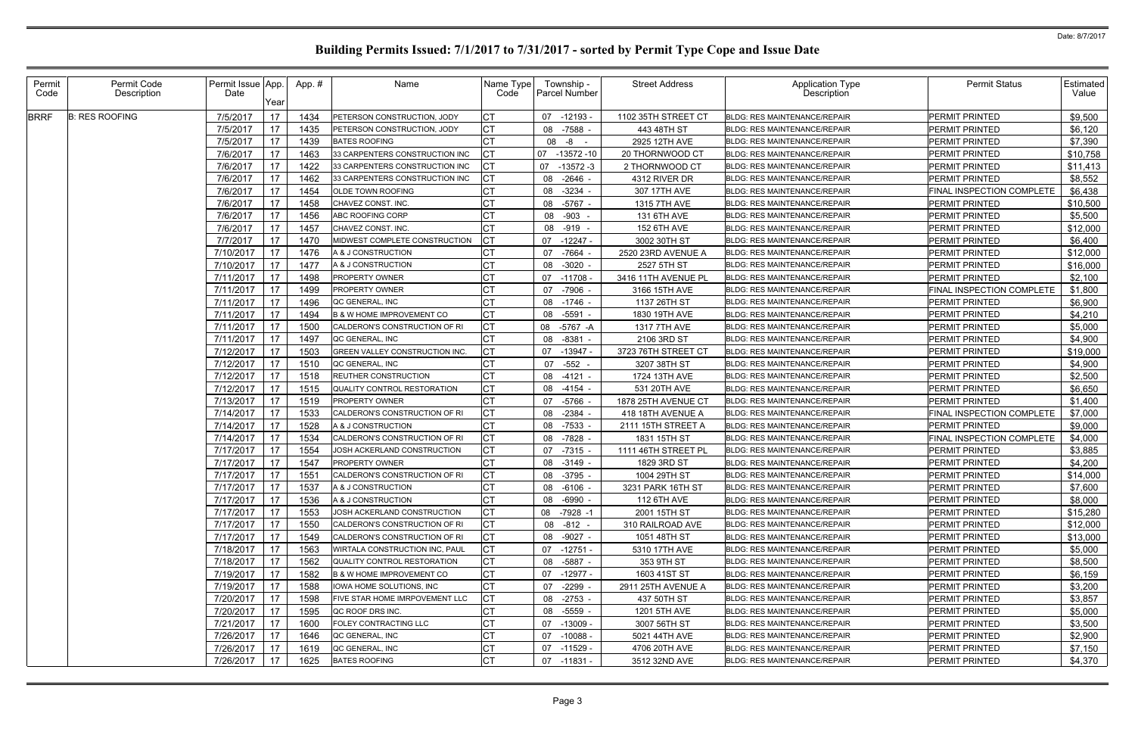| Permit<br>Code | Permit Code<br>Description | Permit Issue App.<br>Date |                 | App.# | Name                                                           | Name Type<br>Code | Township -<br><b>Parcel Number</b> | <b>Street Address</b>              | <b>Application Type</b><br>Description                              | <b>Permit Status</b>             | <b>Estimated</b><br>Value |
|----------------|----------------------------|---------------------------|-----------------|-------|----------------------------------------------------------------|-------------------|------------------------------------|------------------------------------|---------------------------------------------------------------------|----------------------------------|---------------------------|
| <b>BRRF</b>    | <b>B: RES ROOFING</b>      | 7/5/2017                  | Year<br>17      | 1434  | PETERSON CONSTRUCTION, JODY                                    |                   | 07 -12193                          | 1102 35TH STREET CT                | <b>BLDG: RES MAINTENANCE/REPAIR</b>                                 | <b>PERMIT PRINTED</b>            | \$9,500                   |
|                |                            | 7/5/2017                  | 17 <sup>2</sup> | 1435  | PETERSON CONSTRUCTION, JODY                                    |                   | -7588 -<br>08                      | 443 48TH ST                        | BLDG: RES MAINTENANCE/REPAIR                                        | <b>PERMIT PRINTED</b>            | \$6,120                   |
|                |                            | 7/5/2017                  | 17              | 1439  | <b>BATES ROOFING</b>                                           |                   | 08 -8 -                            | 2925 12TH AVE                      | <b>BLDG: RES MAINTENANCE/REPAIR</b>                                 | <b>PERMIT PRINTED</b>            | \$7,390                   |
|                |                            | 7/6/2017                  | 17 <sup>1</sup> | 1463  | 33 CARPENTERS CONSTRUCTION INC                                 |                   | 07<br>$-13572 - 10$                | 20 THORNWOOD CT                    | <b>BLDG: RES MAINTENANCE/REPAIR</b>                                 | PERMIT PRINTED                   | \$10,758                  |
|                |                            | 7/6/2017                  | 17              | 1422  | 33 CARPENTERS CONSTRUCTION INC                                 |                   | 07<br>-13572 -3                    | 2 THORNWOOD CT                     | <b>BLDG: RES MAINTENANCE/REPAIR</b>                                 | PERMIT PRINTED                   | \$11,413                  |
|                |                            | 7/6/2017                  | 17              | 1462  | 33 CARPENTERS CONSTRUCTION INC                                 | СT                | 08 -2646 -                         | 4312 RIVER DR                      | BLDG: RES MAINTENANCE/REPAIR                                        | PERMIT PRINTED                   | \$8,552                   |
|                |                            | 7/6/2017                  | 17              | 1454  | OLDE TOWN ROOFING                                              |                   | 08<br>$-3234 -$                    | 307 17TH AVE                       | <b>BLDG: RES MAINTENANCE/REPAIR</b>                                 | FINAL INSPECTION COMPLETE        | \$6,438                   |
|                |                            | 7/6/2017                  | 17              | 1458  | CHAVEZ CONST. INC.                                             |                   | 08 -5767                           | 1315 7TH AVE                       | <b>BLDG: RES MAINTENANCE/REPAIR</b>                                 | PERMIT PRINTED                   | \$10,500                  |
|                |                            | 7/6/2017                  | 17              | 1456  | ABC ROOFING CORP                                               |                   | 08 -903 -                          | 131 6TH AVE                        | <b>BLDG: RES MAINTENANCE/REPAIR</b>                                 | <b>PERMIT PRINTED</b>            | \$5,500                   |
|                |                            | 7/6/2017                  | 17              | 1457  | CHAVEZ CONST. INC.                                             |                   | 08 -919 -                          | 152 6TH AVE                        | <b>BLDG: RES MAINTENANCE/REPAIR</b>                                 | PERMIT PRINTED                   | \$12,000                  |
|                |                            | 7/7/2017                  | 17 <sup>2</sup> | 1470  | MIDWEST COMPLETE CONSTRUCTION                                  |                   | 07 -12247 -                        | 3002 30TH ST                       | BLDG: RES MAINTENANCE/REPAIR                                        | <b>PERMIT PRINTED</b>            | \$6,400                   |
|                |                            | 7/10/2017                 | 17 <sup>2</sup> | 1476  | A & J CONSTRUCTION                                             |                   | 07 -7664                           | 2520 23RD AVENUE A                 | <b>BLDG: RES MAINTENANCE/REPAIR</b>                                 | PERMIT PRINTED                   | \$12,000                  |
|                |                            | 7/10/2017                 | 17 <sup>2</sup> | 1477  | A & J CONSTRUCTION                                             |                   | 08 -3020 -                         | 2527 5TH ST                        | <b>BLDG: RES MAINTENANCE/REPAIR</b>                                 | PERMIT PRINTED                   | \$16,000                  |
|                |                            | 7/11/2017                 | 17              | 1498  | PROPERTY OWNER                                                 |                   | $07 - 11708$                       | 3416 11TH AVENUE PL                | <b>BLDG: RES MAINTENANCE/REPAIR</b>                                 | PERMIT PRINTED                   | \$2,100                   |
|                |                            | 7/11/2017                 | 17              | 1499  | <b>PROPERTY OWNER</b>                                          |                   | 07 -7906                           | 3166 15TH AVE                      | <b>BLDG: RES MAINTENANCE/REPAIR</b>                                 | FINAL INSPECTION COMPLETE        | \$1,800                   |
|                |                            | 7/11/2017                 | 17              | 1496  | QC GENERAL, INC                                                |                   | 08 -1746 -                         | 1137 26TH ST                       | <b>BLDG: RES MAINTENANCE/REPAIR</b>                                 | PERMIT PRINTED                   | \$6,900                   |
|                |                            | 7/11/2017                 | 17              | 1494  | <b>B &amp; W HOME IMPROVEMENT CO</b>                           |                   | 08 -5591 -                         | 1830 19TH AVE                      | <b>BLDG: RES MAINTENANCE/REPAIR</b>                                 | PERMIT PRINTED                   | \$4,210                   |
|                |                            | 7/11/2017                 | 17 <sup>2</sup> | 1500  | CALDERON'S CONSTRUCTION OF RI                                  |                   | -5767 -A<br>08                     | 1317 7TH AVE                       | <b>BLDG: RES MAINTENANCE/REPAIR</b>                                 | PERMIT PRINTED                   | \$5,000                   |
|                |                            | 7/11/2017                 | 17              | 1497  | QC GENERAL, INC                                                |                   | 08 -8381                           | 2106 3RD ST                        | <b>BLDG: RES MAINTENANCE/REPAIR</b>                                 | PERMIT PRINTED                   | \$4,900                   |
|                |                            | 7/12/2017                 | 17              | 1503  | GREEN VALLEY CONSTRUCTION INC.                                 |                   | 07 -13947                          | 3723 76TH STREET CT                | BLDG: RES MAINTENANCE/REPAIR                                        | <b>PERMIT PRINTED</b>            | \$19,000                  |
|                |                            | 7/12/2017                 | 17              | 1510  | QC GENERAL, INC                                                |                   | 07 - 552 -                         | 3207 38TH ST                       | <b>BLDG: RES MAINTENANCE/REPAIR</b>                                 | <b>PERMIT PRINTED</b>            | \$4,900                   |
|                |                            | 7/12/2017                 | 17              | 1518  | REUTHER CONSTRUCTION                                           |                   | 08 -4121 -                         | 1724 13TH AVE                      | <b>BLDG: RES MAINTENANCE/REPAIR</b>                                 | PERMIT PRINTED                   | \$2,500                   |
|                |                            | 7/12/2017                 | 17              | 1515  | QUALITY CONTROL RESTORATION                                    |                   | 08 -4154                           | 531 20TH AVE                       | <b>BLDG: RES MAINTENANCE/REPAIR</b>                                 | PERMIT PRINTED                   | \$6,650                   |
|                |                            | 7/13/2017                 | 17              | 1519  | <b>PROPERTY OWNER</b>                                          |                   | -5766<br>07                        | 1878 25TH AVENUE CT                | <b>BLDG: RES MAINTENANCE/REPAIR</b>                                 | PERMIT PRINTED                   | \$1,400                   |
|                |                            | 7/14/2017                 | 17 <sup>2</sup> | 1533  | CALDERON'S CONSTRUCTION OF RI                                  |                   | $-2384 -$<br>80                    | 418 18TH AVENUE A                  | <b>BLDG: RES MAINTENANCE/REPAIR</b>                                 | FINAL INSPECTION COMPLETE        | \$7,000                   |
|                |                            | 7/14/2017                 | 17              | 1528  | A & J CONSTRUCTION                                             |                   | 08 -7533                           | 2111 15TH STREET A                 | <b>BLDG: RES MAINTENANCE/REPAIR</b>                                 | PERMIT PRINTED                   | \$9,000                   |
|                |                            | 7/14/2017                 | 17              | 1534  | CALDERON'S CONSTRUCTION OF RI                                  |                   | -7828                              | 1831 15TH ST                       | <b>BLDG: RES MAINTENANCE/REPAIR</b>                                 | <b>FINAL INSPECTION COMPLETE</b> |                           |
|                |                            |                           |                 | 1554  | JOSH ACKERLAND CONSTRUCTION                                    |                   | 08                                 |                                    | <b>BLDG: RES MAINTENANCE/REPAIR</b>                                 | PERMIT PRINTED                   | \$4,000<br>\$3,885        |
|                |                            | 7/17/2017<br>7/17/2017    | 17              | 1547  |                                                                |                   | -7315<br>07<br>$-3149 -$           | 1111 46TH STREET PI<br>1829 3RD ST |                                                                     | PERMIT PRINTED                   | \$4,200                   |
|                |                            |                           | 17 <sup>2</sup> |       | PROPERTY OWNER                                                 |                   | 08                                 |                                    | BLDG: RES MAINTENANCE/REPAIR                                        |                                  |                           |
|                |                            | 7/17/2017                 | 17              | 1551  | CALDERON'S CONSTRUCTION OF RI                                  | I∩т.              | 08<br>-3795 -                      | 1004 29TH ST                       | <b>BLDG: RES MAINTENANCE/REPAIR</b>                                 | PERMIT PRINTED                   | \$14,000                  |
|                |                            | 7/17/2017   17            |                 | 1537  | A & J CONSTRUCTION                                             | ◡                 | 08 -6106                           | 3231 PARK 16TH ST                  | BLDG: RES MAINTENANCE/REPAIR<br><b>BLDG: RES MAINTENANCE/REPAIR</b> | PERMIT PRINTED                   | \$7,600                   |
|                |                            | 7/17/2017                 | 17              | 1536  | A & J CONSTRUCTION                                             |                   | 08 -6990 -                         | 112 6TH AVE                        |                                                                     | <b>PERMIT PRINTED</b>            | \$8,000                   |
|                |                            | 7/17/2017                 | 17              | 1553  | JOSH ACKERLAND CONSTRUCTION                                    |                   | 08 -7928 -1                        | 2001 15TH ST                       | <b>BLDG: RES MAINTENANCE/REPAIR</b>                                 | PERMIT PRINTED                   | \$15,280                  |
|                |                            | 7/17/2017                 | 17              | 1550  | CALDERON'S CONSTRUCTION OF RI<br>CALDERON'S CONSTRUCTION OF RI |                   | 08 -812 -                          | 310 RAILROAD AVE                   | <b>BLDG: RES MAINTENANCE/REPAIR</b>                                 | <b>PERMIT PRINTED</b>            | \$12,000                  |
|                |                            | 7/17/2017                 | 17              | 1549  |                                                                |                   | 08 -9027 -                         | 1051 48TH ST                       | <b>BLDG: RES MAINTENANCE/REPAIR</b>                                 | <b>PERMIT PRINTED</b>            | \$13,000                  |
|                |                            | 7/18/2017                 | 17              | 1563  | WIRTALA CONSTRUCTION INC, PAUL                                 |                   | $07 - 12751 -$                     | 5310 17TH AVE                      | <b>BLDG: RES MAINTENANCE/REPAIR</b>                                 | PERMIT PRINTED                   | \$5,000                   |
|                |                            | 7/18/2017                 | 17              | 1562  | <b>QUALITY CONTROL RESTORATION</b>                             |                   | 08 -5887 -                         | 353 9TH ST                         | <b>BLDG: RES MAINTENANCE/REPAIR</b>                                 | PERMIT PRINTED                   | \$8,500                   |
|                |                            | 7/19/2017                 | 17              | 1582  | <b>B &amp; W HOME IMPROVEMENT CO</b>                           |                   | 07 -12977 -                        | 1603 41ST ST                       | <b>BLDG: RES MAINTENANCE/REPAIR</b>                                 | PERMIT PRINTED                   | \$6,159                   |
|                |                            | 7/19/2017                 | 17              | 1588  | IOWA HOME SOLUTIONS, INC                                       |                   | -2299 -<br>07                      | 2911 25TH AVENUE A                 | <b>BLDG: RES MAINTENANCE/REPAIR</b>                                 | <b>PERMIT PRINTED</b>            | \$3,200                   |
|                |                            | 7/20/2017                 | 17              | 1598  | FIVE STAR HOME IMRPOVEMENT LLC                                 |                   | 08 -2753 -                         | 437 50TH ST                        | BLDG: RES MAINTENANCE/REPAIR                                        | PERMIT PRINTED                   | \$3,857                   |
|                |                            | 7/20/2017                 | 17              | 1595  | QC ROOF DRS INC.                                               |                   | 08 -5559 -                         | 1201 5TH AVE                       | <b>BLDG: RES MAINTENANCE/REPAIR</b>                                 | PERMIT PRINTED                   | \$5,000                   |
|                |                            | 7/21/2017                 | 17              | 1600  | FOLEY CONTRACTING LLC                                          |                   | 07 -13009                          | 3007 56TH ST                       | <b>BLDG: RES MAINTENANCE/REPAIR</b>                                 | PERMIT PRINTED                   | \$3,500                   |
|                |                            | 7/26/2017                 | 17              | 1646  | QC GENERAL, INC                                                |                   | 07 -10088 -                        | 5021 44TH AVE                      | <b>BLDG: RES MAINTENANCE/REPAIR</b>                                 | PERMIT PRINTED                   | \$2,900                   |
|                |                            | 7/26/2017                 | 17              | 1619  | QC GENERAL, INC                                                |                   | $07 - 11529$                       | 4706 20TH AVE                      | <b>BLDG: RES MAINTENANCE/REPAIR</b>                                 | <b>PERMIT PRINTED</b>            | \$7,150                   |
|                |                            | 7/26/2017                 | 17              | 1625  | <b>BATES ROOFING</b>                                           | <b>CT</b>         | 07 -11831 -                        | 3512 32ND AVE                      | BLDG: RES MAINTENANCE/REPAIR                                        | <b>PERMIT PRINTED</b>            | \$4,370                   |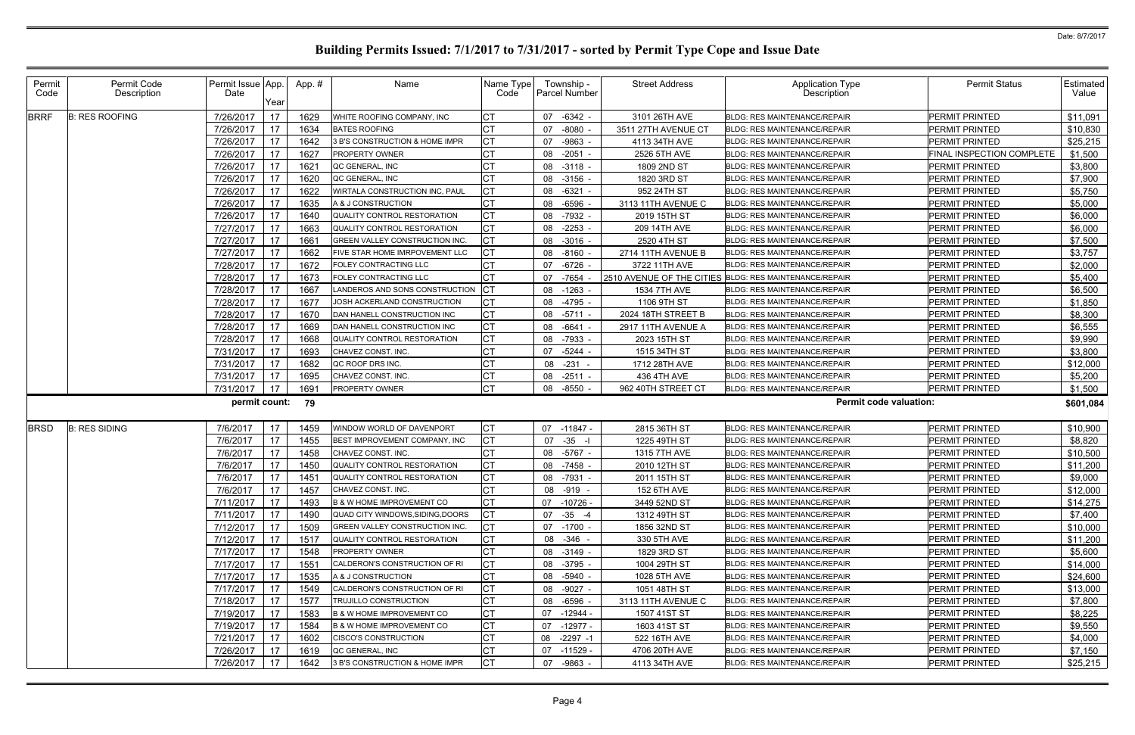| Permit<br>Code | Permit Code<br>Description | Permit Issue App.<br>Date | Year | App.# | Name                                 | Name Type<br>Code | Township -<br>Parcel Number | <b>Street Address</b> | Application Type<br>Description                        | <b>Permit Status</b>      | Estimated<br>Value |
|----------------|----------------------------|---------------------------|------|-------|--------------------------------------|-------------------|-----------------------------|-----------------------|--------------------------------------------------------|---------------------------|--------------------|
| <b>BRRF</b>    | <b>B: RES ROOFING</b>      | 7/26/2017                 | 17   | 1629  | WHITE ROOFING COMPANY, INC           | <b>CT</b>         | 07 -6342 -                  | 3101 26TH AVE         | <b>BLDG: RES MAINTENANCE/REPAIR</b>                    | PERMIT PRINTED            | \$11,091           |
|                |                            | 7/26/2017                 | 17   | 1634  | <b>BATES ROOFING</b>                 | <b>CT</b>         | $-8080$<br>07               | 3511 27TH AVENUE CT   | <b>BLDG: RES MAINTENANCE/REPAIR</b>                    | <b>PERMIT PRINTED</b>     | \$10,830           |
|                |                            | 7/26/2017                 | 17   | 1642  | 3 B'S CONSTRUCTION & HOME IMPR       | <b>CT</b>         | -9863<br>07                 | 4113 34TH AVE         | <b>BLDG: RES MAINTENANCE/REPAIR</b>                    | PERMIT PRINTED            | \$25,215           |
|                |                            | 7/26/2017                 | 17   | 1627  | <b>PROPERTY OWNER</b>                | <b>CT</b>         | 08 -2051                    | 2526 5TH AVE          | <b>BLDG: RES MAINTENANCE/REPAIR</b>                    | FINAL INSPECTION COMPLETE | \$1,500            |
|                |                            | 7/26/2017                 | 17   | 162'  | QC GENERAL, INC                      | СT                | 08 -3118                    | 1809 2ND ST           | <b>BLDG: RES MAINTENANCE/REPAIR</b>                    | PERMIT PRINTED            | \$3,800            |
|                |                            | 7/26/2017                 | 17   | 1620  | QC GENERAL, INC                      | <b>CT</b>         | 08 -3156                    | 1820 3RD ST           | <b>BLDG: RES MAINTENANCE/REPAIR</b>                    | PERMIT PRINTED            | \$7,900            |
|                |                            | 7/26/2017                 | 17   | 1622  | WIRTALA CONSTRUCTION INC, PAUL       | <b>CT</b>         | 08 -6321                    | 952 24TH ST           | <b>BLDG: RES MAINTENANCE/REPAIR</b>                    | PERMIT PRINTED            | \$5,750            |
|                |                            | 7/26/2017                 | 17   | 1635  | A & J CONSTRUCTION                   | <b>CT</b>         | 08 -6596                    | 3113 11TH AVENUE C    | BLDG: RES MAINTENANCE/REPAIR                           | PERMIT PRINTED            | \$5,000            |
|                |                            | 7/26/2017                 | 17   | 1640  | QUALITY CONTROL RESTORATION          | <b>CT</b>         | 08 -7932                    | 2019 15TH ST          | <b>BLDG: RES MAINTENANCE/REPAIR</b>                    | PERMIT PRINTED            | \$6,000            |
|                |                            | 7/27/2017                 | 17   | 1663  | QUALITY CONTROL RESTORATION          | <b>CT</b>         | 08 -2253                    | 209 14TH AVE          | <b>BLDG: RES MAINTENANCE/REPAIR</b>                    | PERMIT PRINTED            | \$6,000            |
|                |                            | 7/27/2017                 | 17   | 166'  | GREEN VALLEY CONSTRUCTION INC.       | <b>CT</b>         | 08 -3016                    | 2520 4TH ST           | <b>BLDG: RES MAINTENANCE/REPAIR</b>                    | <b>PERMIT PRINTED</b>     | \$7,500            |
|                |                            | 7/27/2017                 | 17   | 1662  | FIVE STAR HOME IMRPOVEMENT LLC       | <b>CT</b>         | 08 -8160                    | 2714 11TH AVENUE B    | <b>BLDG: RES MAINTENANCE/REPAIR</b>                    | PERMIT PRINTED            | \$3,757            |
|                |                            | 7/28/2017                 | 17   | 1672  | <b>FOLEY CONTRACTING LLC</b>         | <b>CT</b>         | -6726<br>07                 | 3722 11TH AVE         | <b>BLDG: RES MAINTENANCE/REPAIR</b>                    | <b>PERMIT PRINTED</b>     | \$2,000            |
|                |                            | 7/28/2017                 | 17   | 1673  | FOLEY CONTRACTING LLC                | <b>CT</b>         | 07<br>-7654                 |                       | 2510 AVENUE OF THE CITIES BLDG: RES MAINTENANCE/REPAIR | <b>PERMIT PRINTED</b>     | \$5,400            |
|                |                            | 7/28/2017                 | 17   | 1667  | ANDEROS AND SONS CONSTRUCTION        | Iст               | 08 -1263                    | 1534 7TH AVE          | <b>BLDG: RES MAINTENANCE/REPAIR</b>                    | PERMIT PRINTED            | \$6,500            |
|                |                            | 7/28/2017                 | 17   | 1677  | JOSH ACKERLAND CONSTRUCTION          | <b>CT</b>         | -4795<br>08                 | 1106 9TH ST           | <b>BLDG: RES MAINTENANCE/REPAIR</b>                    | PERMIT PRINTED            | \$1,850            |
|                |                            | 7/28/2017                 | 17   | 1670  | DAN HANELL CONSTRUCTION INC          | <b>CT</b>         | 08 -5711                    | 2024 18TH STREET B    | <b>BLDG: RES MAINTENANCE/REPAIR</b>                    | PERMIT PRINTED            | \$8,300            |
|                |                            | 7/28/2017                 | 17   | 1669  | DAN HANELL CONSTRUCTION INC          | <b>CT</b>         | $-6641$<br>08               | 2917 11TH AVENUE A    | <b>BLDG: RES MAINTENANCE/REPAIR</b>                    | PERMIT PRINTED            | \$6,555            |
|                |                            | 7/28/2017                 | 17   | 1668  | QUALITY CONTROL RESTORATION          | <b>CT</b>         | 08 -7933                    | 2023 15TH ST          | <b>BLDG: RES MAINTENANCE/REPAIR</b>                    | <b>PERMIT PRINTED</b>     | \$9,990            |
|                |                            | 7/31/2017                 | 17   | 1693  | CHAVEZ CONST. INC.                   | <b>CT</b>         | 07<br>$-5244$               | 1515 34TH ST          | <b>BLDG: RES MAINTENANCE/REPAIR</b>                    | PERMIT PRINTED            | \$3,800            |
|                |                            | 7/31/2017                 | 17   | 1682  | QC ROOF DRS INC.                     | <b>CT</b>         | 08<br>$-231$                | 1712 28TH AVE         | <b>BLDG: RES MAINTENANCE/REPAIR</b>                    | PERMIT PRINTED            | \$12,000           |
|                |                            | 7/31/2017                 | 17   | 1695  | CHAVEZ CONST. INC.                   | СT                | 08 -2511                    | 436 4TH AVE           | <b>BLDG: RES MAINTENANCE/REPAIR</b>                    | PERMIT PRINTED            | \$5,200            |
|                |                            | 7/31/2017                 | 17   | 1691  | <b>PROPERTY OWNER</b>                | <b>CT</b>         | 08 -8550                    | 962 40TH STREET CT    | <b>BLDG: RES MAINTENANCE/REPAIR</b>                    | <b>PERMIT PRINTED</b>     | \$1,500            |
|                |                            | permit count:             |      | 79    |                                      |                   |                             |                       | <b>Permit code valuation:</b>                          |                           | \$601,084          |
| <b>BRSD</b>    | <b>B: RES SIDING</b>       | 7/6/2017                  | 17   | 1459  | WINDOW WORLD OF DAVENPORT            | <b>CT</b>         | 07 -11847 -                 | 2815 36TH ST          | <b>BLDG: RES MAINTENANCE/REPAIR</b>                    | PERMIT PRINTED            | \$10,900           |
|                |                            | 7/6/2017                  | 17   | 1455  | BEST IMPROVEMENT COMPANY, INC        | <b>CT</b>         | 07 -35                      | 1225 49TH ST          | BLDG: RES MAINTENANCE/REPAIR                           | PERMIT PRINTED            | \$8,820            |
|                |                            | 7/6/2017                  | 17   | 1458  | CHAVEZ CONST. INC.                   | <b>CT</b>         | -5767 -<br>08               | 1315 7TH AVE          | <b>BLDG: RES MAINTENANCE/REPAIR</b>                    | PERMIT PRINTED            | \$10,500           |
|                |                            | 7/6/2017                  | 17   | 1450  | QUALITY CONTROL RESTORATION          | <b>CT</b>         | 08 -7458                    | 2010 12TH ST          | BLDG: RES MAINTENANCE/REPAIR                           | PERMIT PRINTED            | \$11,200           |
|                |                            | 7/6/2017                  | 17   | 1451  | QUALITY CONTROL RESTORATION          | <b>CT</b>         | 08 -7931                    | 2011 15TH ST          | <b>BLDG: RES MAINTENANCE/REPAIR</b>                    | PERMIT PRINTED            | \$9,000            |
|                |                            | 7/6/2017 17               |      | 1457  | CHAVEZ CONST. INC.                   | <b>CT</b>         | 08 -919 -                   | 152 6TH AVE           | BLDG: RES MAINTENANCE/REPAIR                           | PERMIT PRINTED            | \$12,000           |
|                |                            | 7/11/2017                 | 17   | 1493  | <b>B &amp; W HOME IMPROVEMENT CO</b> | <b>CT</b>         | 07 -10726 -                 | 3449 52ND ST          | <b>BLDG: RES MAINTENANCE/REPAIR</b>                    | PERMIT PRINTED            | \$14,275           |
|                |                            | 7/11/2017                 | 17   | 1490  | QUAD CITY WINDOWS, SIDING, DOORS     | <b>CT</b>         | 07 - 35 - 4                 | 1312 49TH ST          | <b>BLDG: RES MAINTENANCE/REPAIR</b>                    | PERMIT PRINTED            | \$7,400            |
|                |                            | 7/12/2017                 | 17   | 1509  | GREEN VALLEY CONSTRUCTION INC.       | CT                | 07 -1700 -                  | 1856 32ND ST          | <b>BLDG: RES MAINTENANCE/REPAIR</b>                    | PERMIT PRINTED            | \$10,000           |
|                |                            | 7/12/2017                 | 17   | 1517  | QUALITY CONTROL RESTORATION          | <b>CT</b>         | 08 - 346 -                  | 330 5TH AVE           | <b>BLDG: RES MAINTENANCE/REPAIR</b>                    | PERMIT PRINTED            | \$11,200           |
|                |                            | 7/17/2017                 | 17   | 1548  | <b>PROPERTY OWNER</b>                | <b>CT</b>         | 08 -3149 -                  | 1829 3RD ST           | <b>BLDG: RES MAINTENANCE/REPAIR</b>                    | PERMIT PRINTED            | \$5,600            |
|                |                            | 7/17/2017                 | 17   | 155'  | CALDERON'S CONSTRUCTION OF RI        | <b>CT</b>         | 08 -3795 -                  | 1004 29TH ST          | <b>BLDG: RES MAINTENANCE/REPAIR</b>                    | PERMIT PRINTED            | \$14,000           |
|                |                            | 7/17/2017                 | 17   | 1535  | A & J CONSTRUCTION                   | СT                | 08 -5940 -                  | 1028 5TH AVE          | BLDG: RES MAINTENANCE/REPAIR                           | <b>PERMIT PRINTED</b>     | \$24,600           |
|                |                            | 7/17/2017                 | 17   | 1549  | CALDERON'S CONSTRUCTION OF RI        | <b>CT</b>         | 08 -9027 -                  | 1051 48TH ST          | <b>BLDG: RES MAINTENANCE/REPAIR</b>                    | PERMIT PRINTED            | \$13,000           |
|                |                            | 7/18/2017                 | 17   | 1577  | <b>TRUJILLO CONSTRUCTION</b>         | <b>CT</b>         | 08 -6596                    | 3113 11TH AVENUE C    | BLDG: RES MAINTENANCE/REPAIR                           | PERMIT PRINTED            | \$7,800            |
|                |                            | 7/19/2017                 | 17   | 1583  | <b>B &amp; W HOME IMPROVEMENT CO</b> | <b>CT</b>         | 07 -12944 -                 | 1507 41ST ST          | <b>BLDG: RES MAINTENANCE/REPAIR</b>                    | PERMIT PRINTED            | \$8,225            |
|                |                            | 7/19/2017                 | 17   | 1584  | <b>B &amp; W HOME IMPROVEMENT CO</b> | <b>CT</b>         | 07 -12977 -                 | 1603 41ST ST          | <b>BLDG: RES MAINTENANCE/REPAIR</b>                    | <b>PERMIT PRINTED</b>     | \$9,550            |
|                |                            | 7/21/2017                 | 17   | 1602  | <b>CISCO'S CONSTRUCTION</b>          | <b>CT</b>         | 08 -2297 -1                 | 522 16TH AVE          | <b>BLDG: RES MAINTENANCE/REPAIR</b>                    | PERMIT PRINTED            | \$4,000            |
|                |                            | 7/26/2017                 | 17   | 1619  | QC GENERAL, INC                      | <b>CT</b>         | 07 -11529 -                 | 4706 20TH AVE         | <b>BLDG: RES MAINTENANCE/REPAIR</b>                    | PERMIT PRINTED            | \$7,150            |
|                |                            | 7/26/2017                 | 17   | 1642  | 3 B'S CONSTRUCTION & HOME IMPR       | <b>CT</b>         | 07 -9863                    | 4113 34TH AVE         | BLDG: RES MAINTENANCE/REPAIR                           | PERMIT PRINTED            | \$25,215           |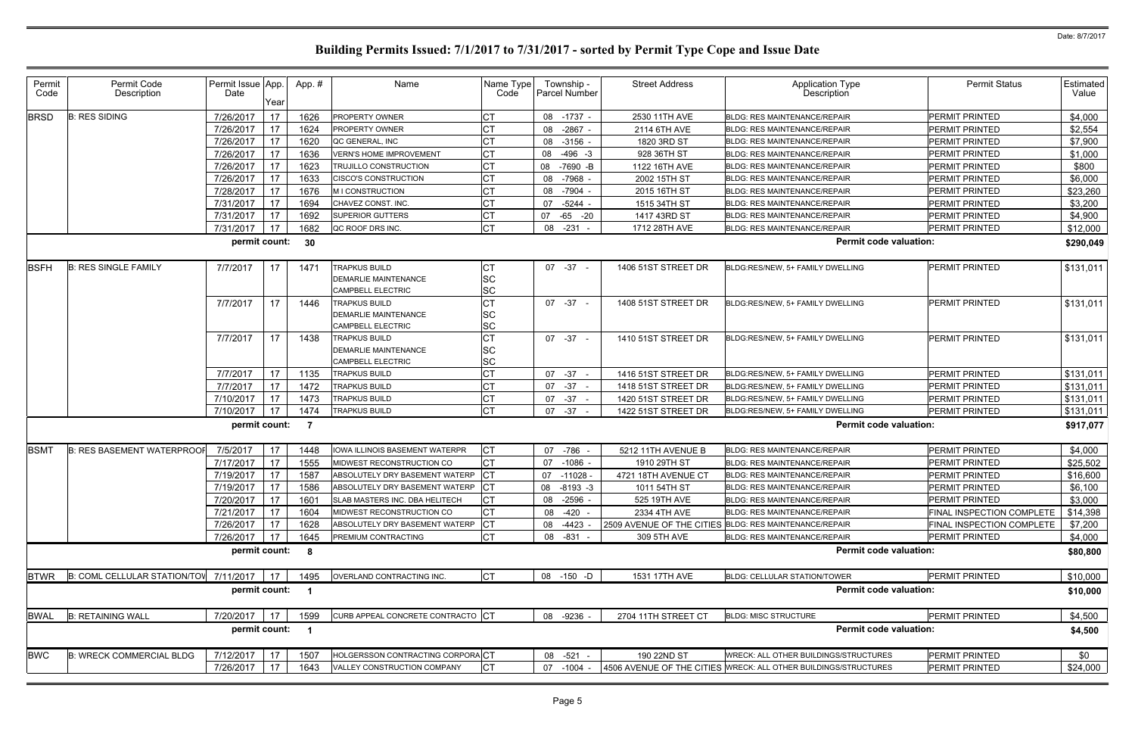| Permit<br>Permit Code<br>Permit Issue App.<br><b>Street Address</b><br><b>Application Type</b><br>App.#<br>Name<br>Name Type<br>Township -<br>Description<br>Description<br>Date<br>Parcel Number<br>Code<br>Code<br>Year<br>17<br>7/26/2017<br>08 -1737<br>2530 11TH AVE<br><b>PERMIT PRINTED</b><br><b>BRSD</b><br><b>B: RES SIDING</b><br>1626<br><b>PROPERTY OWNER</b><br><b>BLDG: RES MAINTENANCE/REPAIR</b><br>17<br>СT<br>08 -2867 -<br><b>PERMIT PRINTED</b><br>7/26/2017<br>1624<br><b>PROPERTY OWNER</b><br>2114 6TH AVE<br><b>BLDG: RES MAINTENANCE/REPAIR</b><br>17<br>7/26/2017<br>1620<br>QC GENERAL, INC<br>08 -3156<br>1820 3RD ST<br><b>BLDG: RES MAINTENANCE/REPAIR</b><br>PERMIT PRINTED<br>17<br>7/26/2017<br>1636<br><b>CT</b><br>928 36TH ST<br>PERMIT PRINTED<br>$-496 - 3$<br><b>VERN'S HOME IMPROVEMENT</b><br>08<br><b>BLDG: RES MAINTENANCE/REPAIR</b><br>СT<br>17<br><b>PERMIT PRINTED</b><br>7/26/2017<br>1623<br>TRUJILLO CONSTRUCTION<br><b>BLDG: RES MAINTENANCE/REPAIR</b><br>08 -7690 -B<br>1122 16TH AVE<br>СT<br>17<br>7/26/2017<br>1633<br>PERMIT PRINTED<br>08 -7968<br>2002 15TH ST<br>CISCO'S CONSTRUCTION<br><b>BLDG: RES MAINTENANCE/REPAIR</b><br>17<br>1676<br>СT<br>7/28/2017<br>PERMIT PRINTED<br>M I CONSTRUCTION<br>2015 16TH ST<br><b>BLDG: RES MAINTENANCE/REPAIR</b><br>08 -7904<br>17<br>PERMIT PRINTED<br>7/31/2017<br>1694<br>$-5244$<br>1515 34TH ST<br>CHAVEZ CONST. INC.<br>07<br><b>BLDG: RES MAINTENANCE/REPAIR</b><br>17<br>СT<br>1692<br><b>PERMIT PRINTED</b><br>7/31/2017<br><b>SUPERIOR GUTTERS</b><br><b>BLDG: RES MAINTENANCE/REPAIR</b><br>-65 -20<br>1417 43RD ST<br>07<br><b>CT</b><br>17<br><b>PERMIT PRINTED</b><br>7/31/2017<br>1682<br>08 -231<br>1712 28TH AVE<br>QC ROOF DRS INC.<br><b>BLDG: RES MAINTENANCE/REPAIR</b><br>permit count:<br><b>Permit code valuation:</b><br>30<br><b>TRAPKUS BUILD</b><br>СT<br><b>PERMIT PRINTED</b><br><b>BSFH</b><br><b>B: RES SINGLE FAMILY</b><br>7/7/2017<br>17<br>1471<br>$07 - 37 -$<br>1406 51ST STREET DR<br>BLDG:RES/NEW, 5+ FAMILY DWELLING<br>SC<br>DEMARLIE MAINTENANCE<br><b>SC</b><br>CAMPBELL ELECTRIC<br>СT<br>17<br>7/7/2017<br>1446<br><b>PERMIT PRINTED</b><br><b>TRAPKUS BUILD</b><br>07 - 37 -<br>1408 51ST STREET DR<br>BLDG:RES/NEW, 5+ FAMILY DWELLING<br>SC<br><b>DEMARLIE MAINTENANCE</b><br>SC<br>CAMPBELL ELECTRIC<br>СT<br>7/7/2017<br>17<br>1438<br><b>TRAPKUS BUILD</b><br>1410 51ST STREET DR<br>BLDG:RES/NEW, 5+ FAMILY DWELLING<br><b>PERMIT PRINTED</b><br>$07 - 37 -$<br>SC<br><b>DEMARLIE MAINTENANCE</b><br><b>SC</b><br>CAMPBELL ELECTRIC<br>СT<br>17<br>7/7/2017<br><b>PERMIT PRINTED</b><br>1135<br>1416 51ST STREET DR<br>TRAPKUS BUILD<br>$07 - 37 -$<br>BLDG:RES/NEW, 5+ FAMILY DWELLING<br><b>CT</b><br>17<br>7/7/2017<br>1472<br>1418 51ST STREET DR<br>PERMIT PRINTED<br>TRAPKUS BUILD<br>$07 -37 -$<br>BLDG:RES/NEW, 5+ FAMILY DWELLING<br>17<br><b>TRAPKUS BUILD</b><br>СT<br>PERMIT PRINTED<br>7/10/2017<br>1473<br>1420 51ST STREET DR<br>BLDG:RES/NEW, 5+ FAMILY DWELLING<br>$07 - 37 -$<br>17<br><b>CT</b><br>PERMIT PRINTED<br>7/10/2017<br>1474<br>TRAPKUS BUILD<br>$07 -37 -$<br>1422 51ST STREET DR<br>BLDG:RES/NEW, 5+ FAMILY DWELLING<br>permit count:<br><b>Permit code valuation:</b><br>$\overline{7}$<br>17<br><b>CT</b><br>7/5/2017<br>IOWA ILLINOIS BASEMENT WATERPR<br><b>PERMIT PRINTED</b><br><b>BSMT</b><br><b>B: RES BASEMENT WATERPROOF</b><br>1448<br>07 -786<br>5212 11TH AVENUE B<br><b>BLDG: RES MAINTENANCE/REPAIR</b><br>17<br><b>CT</b><br>7/17/2017<br>1555<br>1910 29TH ST<br>PERMIT PRINTED<br>07 -1086<br>MIDWEST RECONSTRUCTION CO<br><b>BLDG: RES MAINTENANCE/REPAIR</b><br>17<br>1587<br>ABSOLUTELY DRY BASEMENT WATERP<br>BLDG: RES MAINTENANCE/REPAIR<br>7/19/2017<br>$07 - 11028$<br>4721 18TH AVENUE CT | <b>Permit Status</b>      | Estimated<br>Value<br>\$4,000<br>\$2,554<br>\$7,900<br>\$1,000<br>\$800<br>\$6,000<br>\$23,260<br>\$3,200<br>\$4,900<br>\$12,000<br>\$290,049<br>\$131,011 |
|-----------------------------------------------------------------------------------------------------------------------------------------------------------------------------------------------------------------------------------------------------------------------------------------------------------------------------------------------------------------------------------------------------------------------------------------------------------------------------------------------------------------------------------------------------------------------------------------------------------------------------------------------------------------------------------------------------------------------------------------------------------------------------------------------------------------------------------------------------------------------------------------------------------------------------------------------------------------------------------------------------------------------------------------------------------------------------------------------------------------------------------------------------------------------------------------------------------------------------------------------------------------------------------------------------------------------------------------------------------------------------------------------------------------------------------------------------------------------------------------------------------------------------------------------------------------------------------------------------------------------------------------------------------------------------------------------------------------------------------------------------------------------------------------------------------------------------------------------------------------------------------------------------------------------------------------------------------------------------------------------------------------------------------------------------------------------------------------------------------------------------------------------------------------------------------------------------------------------------------------------------------------------------------------------------------------------------------------------------------------------------------------------------------------------------------------------------------------------------------------------------------------------------------------------------------------------------------------------------------------------------------------------------------------------------------------------------------------------------------------------------------------------------------------------------------------------------------------------------------------------------------------------------------------------------------------------------------------------------------------------------------------------------------------------------------------------------------------------------------------------------------------------------------------------------------------------------------------------------------------------------------------------------------------------------------------------------------------------------------------------------------------------------------------------------------------------------------------------------------------------------------------------------------------------------------------------------------------------------------------------------------------------------------------------------------------------------------------------------------------------------------------------------------------------------------------|---------------------------|------------------------------------------------------------------------------------------------------------------------------------------------------------|
|                                                                                                                                                                                                                                                                                                                                                                                                                                                                                                                                                                                                                                                                                                                                                                                                                                                                                                                                                                                                                                                                                                                                                                                                                                                                                                                                                                                                                                                                                                                                                                                                                                                                                                                                                                                                                                                                                                                                                                                                                                                                                                                                                                                                                                                                                                                                                                                                                                                                                                                                                                                                                                                                                                                                                                                                                                                                                                                                                                                                                                                                                                                                                                                                                                                                                                                                                                                                                                                                                                                                                                                                                                                                                                                                                                                                                 |                           |                                                                                                                                                            |
|                                                                                                                                                                                                                                                                                                                                                                                                                                                                                                                                                                                                                                                                                                                                                                                                                                                                                                                                                                                                                                                                                                                                                                                                                                                                                                                                                                                                                                                                                                                                                                                                                                                                                                                                                                                                                                                                                                                                                                                                                                                                                                                                                                                                                                                                                                                                                                                                                                                                                                                                                                                                                                                                                                                                                                                                                                                                                                                                                                                                                                                                                                                                                                                                                                                                                                                                                                                                                                                                                                                                                                                                                                                                                                                                                                                                                 |                           |                                                                                                                                                            |
|                                                                                                                                                                                                                                                                                                                                                                                                                                                                                                                                                                                                                                                                                                                                                                                                                                                                                                                                                                                                                                                                                                                                                                                                                                                                                                                                                                                                                                                                                                                                                                                                                                                                                                                                                                                                                                                                                                                                                                                                                                                                                                                                                                                                                                                                                                                                                                                                                                                                                                                                                                                                                                                                                                                                                                                                                                                                                                                                                                                                                                                                                                                                                                                                                                                                                                                                                                                                                                                                                                                                                                                                                                                                                                                                                                                                                 |                           |                                                                                                                                                            |
|                                                                                                                                                                                                                                                                                                                                                                                                                                                                                                                                                                                                                                                                                                                                                                                                                                                                                                                                                                                                                                                                                                                                                                                                                                                                                                                                                                                                                                                                                                                                                                                                                                                                                                                                                                                                                                                                                                                                                                                                                                                                                                                                                                                                                                                                                                                                                                                                                                                                                                                                                                                                                                                                                                                                                                                                                                                                                                                                                                                                                                                                                                                                                                                                                                                                                                                                                                                                                                                                                                                                                                                                                                                                                                                                                                                                                 |                           |                                                                                                                                                            |
|                                                                                                                                                                                                                                                                                                                                                                                                                                                                                                                                                                                                                                                                                                                                                                                                                                                                                                                                                                                                                                                                                                                                                                                                                                                                                                                                                                                                                                                                                                                                                                                                                                                                                                                                                                                                                                                                                                                                                                                                                                                                                                                                                                                                                                                                                                                                                                                                                                                                                                                                                                                                                                                                                                                                                                                                                                                                                                                                                                                                                                                                                                                                                                                                                                                                                                                                                                                                                                                                                                                                                                                                                                                                                                                                                                                                                 |                           |                                                                                                                                                            |
|                                                                                                                                                                                                                                                                                                                                                                                                                                                                                                                                                                                                                                                                                                                                                                                                                                                                                                                                                                                                                                                                                                                                                                                                                                                                                                                                                                                                                                                                                                                                                                                                                                                                                                                                                                                                                                                                                                                                                                                                                                                                                                                                                                                                                                                                                                                                                                                                                                                                                                                                                                                                                                                                                                                                                                                                                                                                                                                                                                                                                                                                                                                                                                                                                                                                                                                                                                                                                                                                                                                                                                                                                                                                                                                                                                                                                 |                           |                                                                                                                                                            |
|                                                                                                                                                                                                                                                                                                                                                                                                                                                                                                                                                                                                                                                                                                                                                                                                                                                                                                                                                                                                                                                                                                                                                                                                                                                                                                                                                                                                                                                                                                                                                                                                                                                                                                                                                                                                                                                                                                                                                                                                                                                                                                                                                                                                                                                                                                                                                                                                                                                                                                                                                                                                                                                                                                                                                                                                                                                                                                                                                                                                                                                                                                                                                                                                                                                                                                                                                                                                                                                                                                                                                                                                                                                                                                                                                                                                                 |                           |                                                                                                                                                            |
|                                                                                                                                                                                                                                                                                                                                                                                                                                                                                                                                                                                                                                                                                                                                                                                                                                                                                                                                                                                                                                                                                                                                                                                                                                                                                                                                                                                                                                                                                                                                                                                                                                                                                                                                                                                                                                                                                                                                                                                                                                                                                                                                                                                                                                                                                                                                                                                                                                                                                                                                                                                                                                                                                                                                                                                                                                                                                                                                                                                                                                                                                                                                                                                                                                                                                                                                                                                                                                                                                                                                                                                                                                                                                                                                                                                                                 |                           |                                                                                                                                                            |
|                                                                                                                                                                                                                                                                                                                                                                                                                                                                                                                                                                                                                                                                                                                                                                                                                                                                                                                                                                                                                                                                                                                                                                                                                                                                                                                                                                                                                                                                                                                                                                                                                                                                                                                                                                                                                                                                                                                                                                                                                                                                                                                                                                                                                                                                                                                                                                                                                                                                                                                                                                                                                                                                                                                                                                                                                                                                                                                                                                                                                                                                                                                                                                                                                                                                                                                                                                                                                                                                                                                                                                                                                                                                                                                                                                                                                 |                           |                                                                                                                                                            |
|                                                                                                                                                                                                                                                                                                                                                                                                                                                                                                                                                                                                                                                                                                                                                                                                                                                                                                                                                                                                                                                                                                                                                                                                                                                                                                                                                                                                                                                                                                                                                                                                                                                                                                                                                                                                                                                                                                                                                                                                                                                                                                                                                                                                                                                                                                                                                                                                                                                                                                                                                                                                                                                                                                                                                                                                                                                                                                                                                                                                                                                                                                                                                                                                                                                                                                                                                                                                                                                                                                                                                                                                                                                                                                                                                                                                                 |                           |                                                                                                                                                            |
|                                                                                                                                                                                                                                                                                                                                                                                                                                                                                                                                                                                                                                                                                                                                                                                                                                                                                                                                                                                                                                                                                                                                                                                                                                                                                                                                                                                                                                                                                                                                                                                                                                                                                                                                                                                                                                                                                                                                                                                                                                                                                                                                                                                                                                                                                                                                                                                                                                                                                                                                                                                                                                                                                                                                                                                                                                                                                                                                                                                                                                                                                                                                                                                                                                                                                                                                                                                                                                                                                                                                                                                                                                                                                                                                                                                                                 |                           |                                                                                                                                                            |
|                                                                                                                                                                                                                                                                                                                                                                                                                                                                                                                                                                                                                                                                                                                                                                                                                                                                                                                                                                                                                                                                                                                                                                                                                                                                                                                                                                                                                                                                                                                                                                                                                                                                                                                                                                                                                                                                                                                                                                                                                                                                                                                                                                                                                                                                                                                                                                                                                                                                                                                                                                                                                                                                                                                                                                                                                                                                                                                                                                                                                                                                                                                                                                                                                                                                                                                                                                                                                                                                                                                                                                                                                                                                                                                                                                                                                 |                           |                                                                                                                                                            |
|                                                                                                                                                                                                                                                                                                                                                                                                                                                                                                                                                                                                                                                                                                                                                                                                                                                                                                                                                                                                                                                                                                                                                                                                                                                                                                                                                                                                                                                                                                                                                                                                                                                                                                                                                                                                                                                                                                                                                                                                                                                                                                                                                                                                                                                                                                                                                                                                                                                                                                                                                                                                                                                                                                                                                                                                                                                                                                                                                                                                                                                                                                                                                                                                                                                                                                                                                                                                                                                                                                                                                                                                                                                                                                                                                                                                                 |                           | \$131,011<br>\$131,011                                                                                                                                     |
|                                                                                                                                                                                                                                                                                                                                                                                                                                                                                                                                                                                                                                                                                                                                                                                                                                                                                                                                                                                                                                                                                                                                                                                                                                                                                                                                                                                                                                                                                                                                                                                                                                                                                                                                                                                                                                                                                                                                                                                                                                                                                                                                                                                                                                                                                                                                                                                                                                                                                                                                                                                                                                                                                                                                                                                                                                                                                                                                                                                                                                                                                                                                                                                                                                                                                                                                                                                                                                                                                                                                                                                                                                                                                                                                                                                                                 |                           |                                                                                                                                                            |
|                                                                                                                                                                                                                                                                                                                                                                                                                                                                                                                                                                                                                                                                                                                                                                                                                                                                                                                                                                                                                                                                                                                                                                                                                                                                                                                                                                                                                                                                                                                                                                                                                                                                                                                                                                                                                                                                                                                                                                                                                                                                                                                                                                                                                                                                                                                                                                                                                                                                                                                                                                                                                                                                                                                                                                                                                                                                                                                                                                                                                                                                                                                                                                                                                                                                                                                                                                                                                                                                                                                                                                                                                                                                                                                                                                                                                 |                           |                                                                                                                                                            |
|                                                                                                                                                                                                                                                                                                                                                                                                                                                                                                                                                                                                                                                                                                                                                                                                                                                                                                                                                                                                                                                                                                                                                                                                                                                                                                                                                                                                                                                                                                                                                                                                                                                                                                                                                                                                                                                                                                                                                                                                                                                                                                                                                                                                                                                                                                                                                                                                                                                                                                                                                                                                                                                                                                                                                                                                                                                                                                                                                                                                                                                                                                                                                                                                                                                                                                                                                                                                                                                                                                                                                                                                                                                                                                                                                                                                                 |                           | \$131,011                                                                                                                                                  |
|                                                                                                                                                                                                                                                                                                                                                                                                                                                                                                                                                                                                                                                                                                                                                                                                                                                                                                                                                                                                                                                                                                                                                                                                                                                                                                                                                                                                                                                                                                                                                                                                                                                                                                                                                                                                                                                                                                                                                                                                                                                                                                                                                                                                                                                                                                                                                                                                                                                                                                                                                                                                                                                                                                                                                                                                                                                                                                                                                                                                                                                                                                                                                                                                                                                                                                                                                                                                                                                                                                                                                                                                                                                                                                                                                                                                                 |                           | \$131,011                                                                                                                                                  |
|                                                                                                                                                                                                                                                                                                                                                                                                                                                                                                                                                                                                                                                                                                                                                                                                                                                                                                                                                                                                                                                                                                                                                                                                                                                                                                                                                                                                                                                                                                                                                                                                                                                                                                                                                                                                                                                                                                                                                                                                                                                                                                                                                                                                                                                                                                                                                                                                                                                                                                                                                                                                                                                                                                                                                                                                                                                                                                                                                                                                                                                                                                                                                                                                                                                                                                                                                                                                                                                                                                                                                                                                                                                                                                                                                                                                                 |                           | \$131,011                                                                                                                                                  |
|                                                                                                                                                                                                                                                                                                                                                                                                                                                                                                                                                                                                                                                                                                                                                                                                                                                                                                                                                                                                                                                                                                                                                                                                                                                                                                                                                                                                                                                                                                                                                                                                                                                                                                                                                                                                                                                                                                                                                                                                                                                                                                                                                                                                                                                                                                                                                                                                                                                                                                                                                                                                                                                                                                                                                                                                                                                                                                                                                                                                                                                                                                                                                                                                                                                                                                                                                                                                                                                                                                                                                                                                                                                                                                                                                                                                                 |                           | \$131,011                                                                                                                                                  |
|                                                                                                                                                                                                                                                                                                                                                                                                                                                                                                                                                                                                                                                                                                                                                                                                                                                                                                                                                                                                                                                                                                                                                                                                                                                                                                                                                                                                                                                                                                                                                                                                                                                                                                                                                                                                                                                                                                                                                                                                                                                                                                                                                                                                                                                                                                                                                                                                                                                                                                                                                                                                                                                                                                                                                                                                                                                                                                                                                                                                                                                                                                                                                                                                                                                                                                                                                                                                                                                                                                                                                                                                                                                                                                                                                                                                                 |                           | \$917,077                                                                                                                                                  |
|                                                                                                                                                                                                                                                                                                                                                                                                                                                                                                                                                                                                                                                                                                                                                                                                                                                                                                                                                                                                                                                                                                                                                                                                                                                                                                                                                                                                                                                                                                                                                                                                                                                                                                                                                                                                                                                                                                                                                                                                                                                                                                                                                                                                                                                                                                                                                                                                                                                                                                                                                                                                                                                                                                                                                                                                                                                                                                                                                                                                                                                                                                                                                                                                                                                                                                                                                                                                                                                                                                                                                                                                                                                                                                                                                                                                                 |                           | \$4,000                                                                                                                                                    |
|                                                                                                                                                                                                                                                                                                                                                                                                                                                                                                                                                                                                                                                                                                                                                                                                                                                                                                                                                                                                                                                                                                                                                                                                                                                                                                                                                                                                                                                                                                                                                                                                                                                                                                                                                                                                                                                                                                                                                                                                                                                                                                                                                                                                                                                                                                                                                                                                                                                                                                                                                                                                                                                                                                                                                                                                                                                                                                                                                                                                                                                                                                                                                                                                                                                                                                                                                                                                                                                                                                                                                                                                                                                                                                                                                                                                                 |                           | \$25,502                                                                                                                                                   |
|                                                                                                                                                                                                                                                                                                                                                                                                                                                                                                                                                                                                                                                                                                                                                                                                                                                                                                                                                                                                                                                                                                                                                                                                                                                                                                                                                                                                                                                                                                                                                                                                                                                                                                                                                                                                                                                                                                                                                                                                                                                                                                                                                                                                                                                                                                                                                                                                                                                                                                                                                                                                                                                                                                                                                                                                                                                                                                                                                                                                                                                                                                                                                                                                                                                                                                                                                                                                                                                                                                                                                                                                                                                                                                                                                                                                                 | PERMIT PRINTED            | \$16,600                                                                                                                                                   |
| 7/19/2017 17<br>ABSOLUTELY DRY BASEMENT WATERP CT<br>1586<br>PERMIT PRINTED<br>08 -8193 -3<br>1011 54TH ST<br>BLDG: RES MAINTENANCE/REPAIR                                                                                                                                                                                                                                                                                                                                                                                                                                                                                                                                                                                                                                                                                                                                                                                                                                                                                                                                                                                                                                                                                                                                                                                                                                                                                                                                                                                                                                                                                                                                                                                                                                                                                                                                                                                                                                                                                                                                                                                                                                                                                                                                                                                                                                                                                                                                                                                                                                                                                                                                                                                                                                                                                                                                                                                                                                                                                                                                                                                                                                                                                                                                                                                                                                                                                                                                                                                                                                                                                                                                                                                                                                                                      |                           | \$6,100                                                                                                                                                    |
| 17<br>CT<br>SLAB MASTERS INC. DBA HELITECH<br><b>BLDG: RES MAINTENANCE/REPAIR</b><br>PERMIT PRINTED<br>7/20/2017<br>1601<br>08 -2596<br>525 19TH AVE                                                                                                                                                                                                                                                                                                                                                                                                                                                                                                                                                                                                                                                                                                                                                                                                                                                                                                                                                                                                                                                                                                                                                                                                                                                                                                                                                                                                                                                                                                                                                                                                                                                                                                                                                                                                                                                                                                                                                                                                                                                                                                                                                                                                                                                                                                                                                                                                                                                                                                                                                                                                                                                                                                                                                                                                                                                                                                                                                                                                                                                                                                                                                                                                                                                                                                                                                                                                                                                                                                                                                                                                                                                            |                           | \$3,000                                                                                                                                                    |
| <b>CT</b><br>7/21/2017<br>17<br>1604<br>08 -420<br>2334 4TH AVE<br>MIDWEST RECONSTRUCTION CO<br>BLDG: RES MAINTENANCE/REPAIR                                                                                                                                                                                                                                                                                                                                                                                                                                                                                                                                                                                                                                                                                                                                                                                                                                                                                                                                                                                                                                                                                                                                                                                                                                                                                                                                                                                                                                                                                                                                                                                                                                                                                                                                                                                                                                                                                                                                                                                                                                                                                                                                                                                                                                                                                                                                                                                                                                                                                                                                                                                                                                                                                                                                                                                                                                                                                                                                                                                                                                                                                                                                                                                                                                                                                                                                                                                                                                                                                                                                                                                                                                                                                    | FINAL INSPECTION COMPLETE | \$14,398                                                                                                                                                   |
| <b>CT</b><br>17<br>7/26/2017<br>1628<br>ABSOLUTELY DRY BASEMENT WATERP<br>2509 AVENUE OF THE CITIES BLDG: RES MAINTENANCE/REPAIR<br>08 -4423                                                                                                                                                                                                                                                                                                                                                                                                                                                                                                                                                                                                                                                                                                                                                                                                                                                                                                                                                                                                                                                                                                                                                                                                                                                                                                                                                                                                                                                                                                                                                                                                                                                                                                                                                                                                                                                                                                                                                                                                                                                                                                                                                                                                                                                                                                                                                                                                                                                                                                                                                                                                                                                                                                                                                                                                                                                                                                                                                                                                                                                                                                                                                                                                                                                                                                                                                                                                                                                                                                                                                                                                                                                                    | FINAL INSPECTION COMPLETE | \$7,200                                                                                                                                                    |
| <b>CT</b><br>7/26/2017<br>17<br><b>PERMIT PRINTED</b><br>1645<br>PREMIUM CONTRACTING<br>08 -831 -<br>309 5TH AVE<br><b>BLDG: RES MAINTENANCE/REPAIR</b>                                                                                                                                                                                                                                                                                                                                                                                                                                                                                                                                                                                                                                                                                                                                                                                                                                                                                                                                                                                                                                                                                                                                                                                                                                                                                                                                                                                                                                                                                                                                                                                                                                                                                                                                                                                                                                                                                                                                                                                                                                                                                                                                                                                                                                                                                                                                                                                                                                                                                                                                                                                                                                                                                                                                                                                                                                                                                                                                                                                                                                                                                                                                                                                                                                                                                                                                                                                                                                                                                                                                                                                                                                                         |                           | \$4,000                                                                                                                                                    |
| permit count:<br><b>Permit code valuation:</b><br>8                                                                                                                                                                                                                                                                                                                                                                                                                                                                                                                                                                                                                                                                                                                                                                                                                                                                                                                                                                                                                                                                                                                                                                                                                                                                                                                                                                                                                                                                                                                                                                                                                                                                                                                                                                                                                                                                                                                                                                                                                                                                                                                                                                                                                                                                                                                                                                                                                                                                                                                                                                                                                                                                                                                                                                                                                                                                                                                                                                                                                                                                                                                                                                                                                                                                                                                                                                                                                                                                                                                                                                                                                                                                                                                                                             |                           | \$80,800                                                                                                                                                   |
| B: COML CELLULAR STATION/TOV<br>7/11/2017<br><b>CT</b><br><b>PERMIT PRINTED</b><br><b>BTWR</b><br>1495<br>OVERLAND CONTRACTING INC.<br>08 -150 -D<br>1531 17TH AVE<br><b>BLDG: CELLULAR STATION/TOWER</b><br>17                                                                                                                                                                                                                                                                                                                                                                                                                                                                                                                                                                                                                                                                                                                                                                                                                                                                                                                                                                                                                                                                                                                                                                                                                                                                                                                                                                                                                                                                                                                                                                                                                                                                                                                                                                                                                                                                                                                                                                                                                                                                                                                                                                                                                                                                                                                                                                                                                                                                                                                                                                                                                                                                                                                                                                                                                                                                                                                                                                                                                                                                                                                                                                                                                                                                                                                                                                                                                                                                                                                                                                                                 |                           | \$10,000                                                                                                                                                   |
| <b>Permit code valuation:</b><br>permit count:<br>$\blacksquare$                                                                                                                                                                                                                                                                                                                                                                                                                                                                                                                                                                                                                                                                                                                                                                                                                                                                                                                                                                                                                                                                                                                                                                                                                                                                                                                                                                                                                                                                                                                                                                                                                                                                                                                                                                                                                                                                                                                                                                                                                                                                                                                                                                                                                                                                                                                                                                                                                                                                                                                                                                                                                                                                                                                                                                                                                                                                                                                                                                                                                                                                                                                                                                                                                                                                                                                                                                                                                                                                                                                                                                                                                                                                                                                                                |                           | \$10,000                                                                                                                                                   |
| CURB APPEAL CONCRETE CONTRACTO CT<br><b>B: RETAINING WALL</b><br>1599<br>PERMIT PRINTED<br>7/20/2017 17<br>08 -9236 -<br>2704 11TH STREET CT<br><b>BWAL</b><br><b>BLDG: MISC STRUCTURE</b>                                                                                                                                                                                                                                                                                                                                                                                                                                                                                                                                                                                                                                                                                                                                                                                                                                                                                                                                                                                                                                                                                                                                                                                                                                                                                                                                                                                                                                                                                                                                                                                                                                                                                                                                                                                                                                                                                                                                                                                                                                                                                                                                                                                                                                                                                                                                                                                                                                                                                                                                                                                                                                                                                                                                                                                                                                                                                                                                                                                                                                                                                                                                                                                                                                                                                                                                                                                                                                                                                                                                                                                                                      |                           | \$4,500                                                                                                                                                    |
| permit count:<br><b>Permit code valuation:</b><br>$\blacksquare$                                                                                                                                                                                                                                                                                                                                                                                                                                                                                                                                                                                                                                                                                                                                                                                                                                                                                                                                                                                                                                                                                                                                                                                                                                                                                                                                                                                                                                                                                                                                                                                                                                                                                                                                                                                                                                                                                                                                                                                                                                                                                                                                                                                                                                                                                                                                                                                                                                                                                                                                                                                                                                                                                                                                                                                                                                                                                                                                                                                                                                                                                                                                                                                                                                                                                                                                                                                                                                                                                                                                                                                                                                                                                                                                                |                           | \$4,500                                                                                                                                                    |
| HOLGERSSON CONTRACTING CORPORA CT<br>7/12/2017<br><b>BWC</b><br><b>B: WRECK COMMERCIAL BLDG</b><br>1507<br>190 22ND ST<br><b>PERMIT PRINTED</b><br>17<br>08 -521 -<br><b>WRECK: ALL OTHER BUILDINGS/STRUCTURES</b>                                                                                                                                                                                                                                                                                                                                                                                                                                                                                                                                                                                                                                                                                                                                                                                                                                                                                                                                                                                                                                                                                                                                                                                                                                                                                                                                                                                                                                                                                                                                                                                                                                                                                                                                                                                                                                                                                                                                                                                                                                                                                                                                                                                                                                                                                                                                                                                                                                                                                                                                                                                                                                                                                                                                                                                                                                                                                                                                                                                                                                                                                                                                                                                                                                                                                                                                                                                                                                                                                                                                                                                              |                           |                                                                                                                                                            |
| 7/26/2017<br>17<br><b>CT</b><br>4506 AVENUE OF THE CITIES WRECK: ALL OTHER BUILDINGS/STRUCTURES<br><b>PERMIT PRINTED</b><br>1643<br>VALLEY CONSTRUCTION COMPANY<br>07 -1004                                                                                                                                                                                                                                                                                                                                                                                                                                                                                                                                                                                                                                                                                                                                                                                                                                                                                                                                                                                                                                                                                                                                                                                                                                                                                                                                                                                                                                                                                                                                                                                                                                                                                                                                                                                                                                                                                                                                                                                                                                                                                                                                                                                                                                                                                                                                                                                                                                                                                                                                                                                                                                                                                                                                                                                                                                                                                                                                                                                                                                                                                                                                                                                                                                                                                                                                                                                                                                                                                                                                                                                                                                     |                           | \$0                                                                                                                                                        |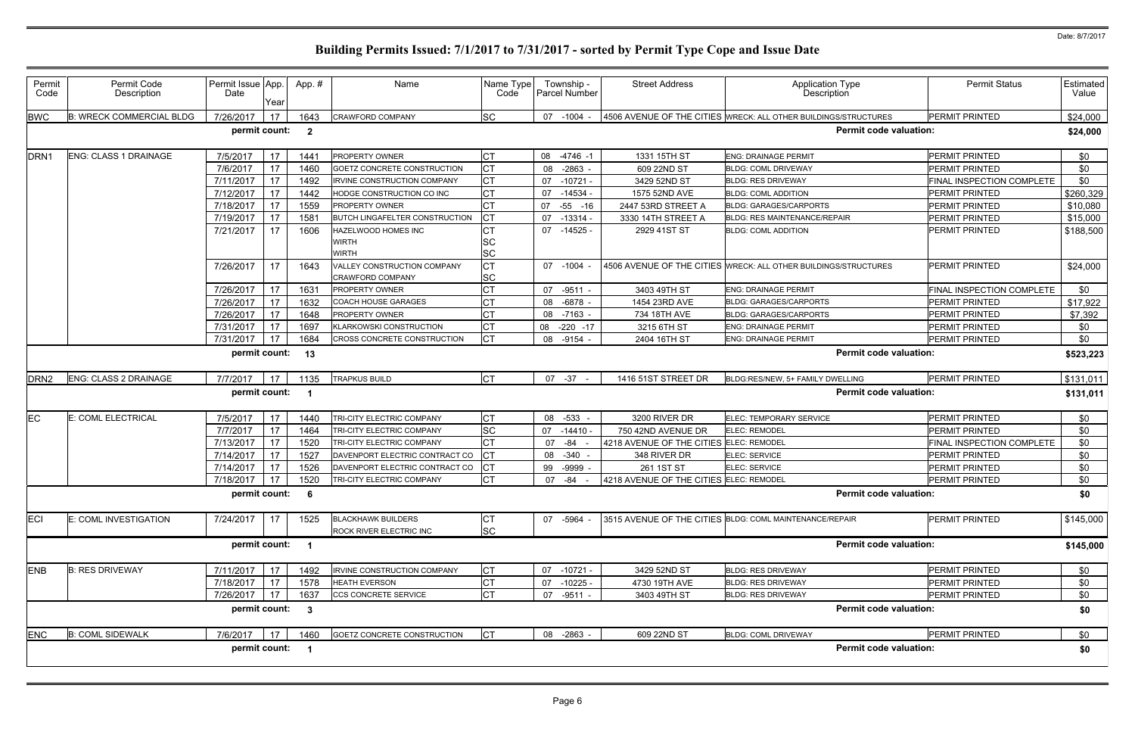| Permit<br>Code   | Permit Code<br>Description      | Permit Issue App.<br>Date | Year | App.#                   | Name                                                       | Name Type<br>Code      | Township -<br>Parcel Number | <b>Street Address</b>                   | <b>Application Type</b><br><b>Description</b>                   | <b>Permit Status</b>             | Estimated<br>Value |
|------------------|---------------------------------|---------------------------|------|-------------------------|------------------------------------------------------------|------------------------|-----------------------------|-----------------------------------------|-----------------------------------------------------------------|----------------------------------|--------------------|
| <b>BWC</b>       | <b>B: WRECK COMMERCIAL BLDG</b> | 7/26/2017                 | 17   | 1643                    | <b>CRAWFORD COMPANY</b>                                    | <b>SC</b>              | 07 -1004 -                  |                                         | 4506 AVENUE OF THE CITIES WRECK: ALL OTHER BUILDINGS/STRUCTURES | <b>PERMIT PRINTED</b>            | \$24,000           |
|                  |                                 | permit count:             |      | $\overline{\mathbf{2}}$ |                                                            |                        |                             |                                         | <b>Permit code valuation:</b>                                   |                                  | \$24,000           |
| DRN <sub>1</sub> | <b>ENG: CLASS 1 DRAINAGE</b>    | 7/5/2017                  | 17   | 144'                    | <b>PROPERTY OWNER</b>                                      | СT                     | 08 -4746 -1                 | 1331 15TH ST                            | <b>ENG: DRAINAGE PERMIT</b>                                     | PERMIT PRINTED                   | \$0                |
|                  |                                 | 7/6/2017                  | 17   | 1460                    | GOETZ CONCRETE CONSTRUCTION                                |                        | $-2863$<br>08               | 609 22ND ST                             | <b>BLDG: COML DRIVEWAY</b>                                      | <b>PERMIT PRINTED</b>            | \$0                |
|                  |                                 | 7/11/2017                 | 17   | 1492                    | <b>IRVINE CONSTRUCTION COMPANY</b>                         |                        | 07 -10721 -                 | 3429 52ND ST                            | <b>BLDG: RES DRIVEWAY</b>                                       | <b>FINAL INSPECTION COMPLETE</b> | \$0                |
|                  |                                 | 7/12/2017                 | 17   | 1442                    | HODGE CONSTRUCTION CO INC                                  | СT                     | $-14534$<br>07              | 1575 52ND AVE                           | <b>BLDG: COML ADDITION</b>                                      | <b>PERMIT PRINTED</b>            | \$260,329          |
|                  |                                 | 7/18/2017                 | 17   | 1559                    | <b>PROPERTY OWNER</b>                                      |                        | $-55 - 16$<br>07            | 2447 53RD STREET A                      | <b>BLDG: GARAGES/CARPORTS</b>                                   | PERMIT PRINTED                   | \$10,080           |
|                  |                                 | 7/19/2017                 | 17   | 158'                    | <b>BUTCH LINGAFELTER CONSTRUCTION</b>                      |                        | $-13314$<br>07              | 3330 14TH STREET A                      | <b>BLDG: RES MAINTENANCE/REPAIR</b>                             | PERMIT PRINTED                   | \$15,000           |
|                  |                                 | 7/21/2017                 | 17   | 1606                    | <b>HAZELWOOD HOMES INC</b><br><b>WIRTH</b><br><b>WIRTH</b> | <b>SC</b><br><b>SC</b> | 07 -14525 -                 | 2929 41ST ST                            | <b>BLDG: COML ADDITION</b>                                      | <b>PERMIT PRINTED</b>            | \$188,500          |
|                  |                                 | 7/26/2017                 | 17   | 1643                    | VALLEY CONSTRUCTION COMPANY<br><b>CRAWFORD COMPANY</b>     | СT<br><b>SC</b>        | 07 -1004                    |                                         | 4506 AVENUE OF THE CITIES WRECK: ALL OTHER BUILDINGS/STRUCTURES | <b>PERMIT PRINTED</b>            | \$24,000           |
|                  |                                 | 7/26/2017                 | 17   | 163'                    | <b>PROPERTY OWNER</b>                                      |                        | 07 -9511 -                  | 3403 49TH ST                            | <b>ENG: DRAINAGE PERMIT</b>                                     | <b>FINAL INSPECTION COMPLETE</b> | \$0                |
|                  |                                 | 7/26/2017                 | 17   | 1632                    | <b>COACH HOUSE GARAGES</b>                                 |                        | $-6878$ -<br>08             | 1454 23RD AVE                           | <b>BLDG: GARAGES/CARPORTS</b>                                   | <b>PERMIT PRINTED</b>            | \$17,922           |
|                  |                                 | 7/26/2017                 | 17   | 1648                    | <b>PROPERTY OWNER</b>                                      |                        | 08 -7163 -                  | 734 18TH AVE                            | <b>BLDG: GARAGES/CARPORTS</b>                                   | <b>PERMIT PRINTED</b>            | \$7,392            |
|                  |                                 | 7/31/2017                 | 17   | 1697                    | <b>KLARKOWSKI CONSTRUCTION</b>                             |                        | $-220 - 17$<br>08           | 3215 6TH ST                             | <b>ENG: DRAINAGE PERMIT</b>                                     | PERMIT PRINTED                   | \$0                |
|                  |                                 | 7/31/2017                 | 17   | 1684                    | CROSS CONCRETE CONSTRUCTION                                |                        | -9154<br>08                 | 2404 16TH ST                            | <b>ENG: DRAINAGE PERMIT</b>                                     | PERMIT PRINTED                   | \$0                |
|                  |                                 | permit count:             |      | 13                      |                                                            |                        |                             |                                         | <b>Permit code valuation:</b>                                   |                                  | \$523,223          |
|                  |                                 |                           |      |                         |                                                            |                        |                             |                                         |                                                                 |                                  |                    |
| DRN <sub>2</sub> | <b>ENG: CLASS 2 DRAINAGE</b>    | 7/7/2017                  | 17   | 1135                    | <b>TRAPKUS BUILD</b>                                       | Iст                    | 07 -37                      | 1416 51ST STREET DR                     | BLDG:RES/NEW, 5+ FAMILY DWELLING                                | PERMIT PRINTED                   | \$131,011          |
|                  |                                 | permit count:             |      | - 1                     |                                                            |                        |                             |                                         | <b>Permit code valuation:</b>                                   |                                  | \$131,011          |
| EC               | E: COML ELECTRICAL              | 7/5/2017                  | 17   | 1440                    | TRI-CITY ELECTRIC COMPANY                                  | Iст                    | 08 -533 -                   | 3200 RIVER DR                           | ELEC: TEMPORARY SERVICE                                         | PERMIT PRINTED                   | \$0                |
|                  |                                 | 7/7/2017                  | 17   | 1464                    | TRI-CITY ELECTRIC COMPANY                                  | <b>SC</b>              | -14410 -<br>07              | 750 42ND AVENUE DR                      | <b>ELEC: REMODEL</b>                                            | <b>PERMIT PRINTED</b>            | \$0                |
|                  |                                 | 7/13/2017                 | 17   | 1520                    | TRI-CITY ELECTRIC COMPANY                                  |                        | -84 -<br>07                 | 4218 AVENUE OF THE CITIES ELEC: REMODEL |                                                                 | <b>FINAL INSPECTION COMPLETE</b> | \$0                |
|                  |                                 | 7/14/2017                 | 17   | 1527                    | DAVENPORT ELECTRIC CONTRACT CO                             |                        | 08 -340 -                   | 348 RIVER DR                            | ELEC: SERVICE                                                   | PERMIT PRINTED                   | \$0                |
|                  |                                 | 7/14/2017                 | 17   | 1526                    | DAVENPORT ELECTRIC CONTRACT CO                             |                        | 99 -9999                    | 261 1ST ST                              | ELEC: SERVICE                                                   | <b>PERMIT PRINTED</b>            | \$0                |
|                  |                                 | 7/18/2017                 | 17   | 1520                    | TRI-CITY ELECTRIC COMPANY                                  | <b>CT</b>              | 07 - 84 -                   | 4218 AVENUE OF THE CITIES ELEC: REMODEL |                                                                 | PERMIT PRINTED                   | \$0                |
|                  |                                 | permit count:             |      | 6                       |                                                            |                        |                             |                                         | <b>Permit code valuation:</b>                                   |                                  | \$0                |
| <b>ECI</b>       | E: COML INVESTIGATION           | 7/24/2017                 | 17   | 1525                    | <b>BLACKHAWK BUILDERS</b><br>ROCK RIVER ELECTRIC INC       | IСТ<br><b>SC</b>       | 07 -5964                    |                                         | 3515 AVENUE OF THE CITIES BLDG: COML MAINTENANCE/REPAIR         | <b>PERMIT PRINTED</b>            | \$145,000          |
|                  |                                 | permit count:             |      | - 1                     |                                                            |                        |                             |                                         | <b>Permit code valuation:</b>                                   |                                  | \$145,000          |
| <b>ENB</b>       | <b>B: RES DRIVEWAY</b>          | 7/11/2017                 | 17   | 1492                    | <b>IRVINE CONSTRUCTION COMPANY</b>                         | IСТ                    | 07 -10721 -                 | 3429 52ND ST                            | <b>BLDG: RES DRIVEWAY</b>                                       | <b>PERMIT PRINTED</b>            | \$0                |
|                  |                                 | 7/18/2017                 | 17   | 1578                    | <b>HEATH EVERSON</b>                                       | СT                     | $-10225$<br>07              | 4730 19TH AVE                           | <b>BLDG: RES DRIVEWAY</b>                                       | PERMIT PRINTED                   | \$0                |
|                  |                                 | 7/26/2017                 | 17   | 1637                    | CCS CONCRETE SERVICE                                       |                        | 07<br>-9511 -               | 3403 49TH ST                            | <b>BLDG: RES DRIVEWAY</b>                                       | PERMIT PRINTED                   | \$0                |
|                  |                                 |                           |      |                         |                                                            |                        |                             |                                         | <b>Permit code valuation:</b>                                   |                                  | \$0                |
|                  |                                 | permit count:             |      | $\mathbf{3}$            |                                                            |                        |                             |                                         |                                                                 |                                  |                    |
|                  | <b>B: COML SIDEWALK</b>         |                           | 17   | 1460                    | GOETZ CONCRETE CONSTRUCTION                                |                        |                             | 609 22ND ST                             | <b>BLDG: COML DRIVEWAY</b>                                      | PERMIT PRINTED                   |                    |
| <b>ENC</b>       |                                 | 7/6/2017<br>permit count: |      | - 1                     |                                                            |                        | 08 -2863                    |                                         | <b>Permit code valuation:</b>                                   |                                  | \$0<br>\$0         |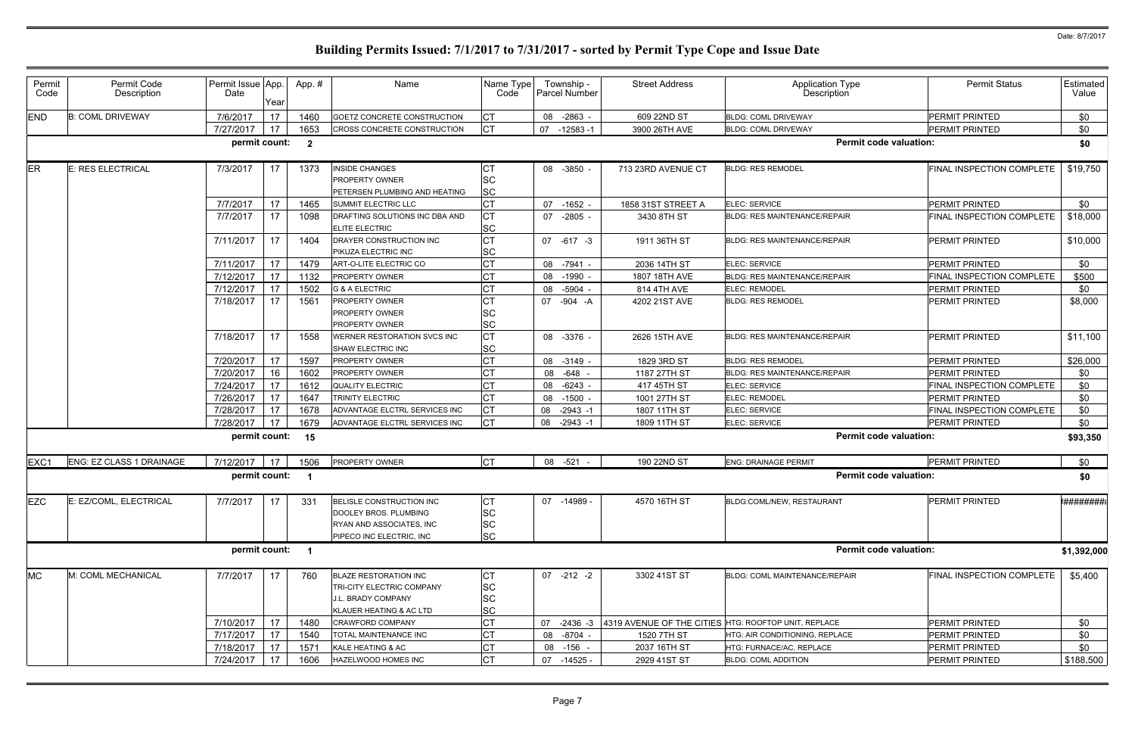| <b>END</b><br>17<br>\$0<br><b>B: COML DRIVEWAY</b><br>7/6/2017<br>$-2863$<br>609 22ND ST<br><b>PERMIT PRINTED</b><br>1460<br>GOETZ CONCRETE CONSTRUCTION<br>08<br><b>BLDG: COML DRIVEWAY</b><br>17<br>СT<br><b>PERMIT PRINTED</b><br>\$0<br>7/27/2017<br>1653<br>$-12583 - 1$<br><b>BLDG: COML DRIVEWAY</b><br>CROSS CONCRETE CONSTRUCTION<br>07<br>3900 26TH AVE<br>permit count:<br><b>Permit code valuation:</b><br>$\overline{\mathbf{2}}$<br>ER<br><b>E: RES ELECTRICAL</b><br>7/3/2017<br>1373<br>08 -3850 -<br>713 23RD AVENUE CT<br>FINAL INSPECTION COMPLETE<br>17<br><b>INSIDE CHANGES</b><br><b>BLDG: RES REMODEL</b><br><b>SC</b><br>PROPERTY OWNER<br><b>SC</b><br>PETERSEN PLUMBING AND HEATING<br><b>CT</b><br>7/7/2017<br>17<br>SUMMIT ELECTRIC LLC<br>1858 31ST STREET A<br>ELEC: SERVICE<br><b>PERMIT PRINTED</b><br>1465<br>07 -1652 -<br><b>CT</b><br>7/7/2017<br>17<br><b>BLDG: RES MAINTENANCE/REPAIR</b><br>FINAL INSPECTION COMPLETE<br>1098<br>DRAFTING SOLUTIONS INC DBA AND<br>$-2805$<br>3430 8TH ST<br>07<br><b>SC</b><br>ELITE ELECTRIC<br><b>CT</b><br>7/11/2017<br>17<br>1404<br>DRAYER CONSTRUCTION INC<br>07 -617 -3<br>1911 36TH ST<br><b>BLDG: RES MAINTENANCE/REPAIR</b><br><b>PERMIT PRINTED</b><br><b>SC</b><br>PIKUZA ELECTRIC INC<br>17<br>7/11/2017<br>1479<br>ELEC: SERVICE<br><b>PERMIT PRINTED</b><br>ART-O-LITE ELECTRIC CO<br>08 -7941 -<br>2036 14TH ST<br>7/12/2017<br>17<br>1132<br>08 -1990<br>1807 18TH AVE<br><b>FINAL INSPECTION COMPLETE</b><br>PROPERTY OWNER<br><b>BLDG: RES MAINTENANCE/REPAIR</b><br>17<br>1502<br>\$0<br>7/12/2017<br>814 4TH AVE<br><b>ELEC: REMODEL</b><br>G & A ELECTRIC<br>-5904<br><b>PERMIT PRINTED</b><br>08<br>7/18/2017<br>17<br>07 -904 -A<br><b>PERMIT PRINTED</b><br>1561<br>PROPERTY OWNER<br>4202 21ST AVE<br><b>BLDG: RES REMODEL</b><br><b>SC</b><br>PROPERTY OWNER<br><b>SC</b><br>PROPERTY OWNER<br>17<br><b>CT</b><br>7/18/2017<br><b>PERMIT PRINTED</b><br>1558<br>08 -3376 -<br>2626 15TH AVE<br><b>BLDG: RES MAINTENANCE/REPAIR</b><br>WERNER RESTORATION SVCS INC<br><b>SC</b><br>SHAW ELECTRIC INC<br>7/20/2017<br>∩⊤<br><b>PERMIT PRINTED</b><br>17<br>1597<br>PROPERTY OWNER<br>08 -3149<br>1829 3RD ST<br><b>BLDG: RES REMODEL</b><br>16<br>\$0<br>7/20/2017<br>1602<br>08 -648 -<br>1187 27TH ST<br>PERMIT PRINTED<br>PROPERTY OWNER<br><b>BLDG: RES MAINTENANCE/REPAIR</b><br>17<br>\$0<br>7/24/2017<br>1612<br>QUALITY ELECTRIC<br>$-6243$<br>417 45TH ST<br>ELEC: SERVICE<br>FINAL INSPECTION COMPLETE<br>08<br>17<br>\$0<br>1647<br>7/26/2017<br>TRINITY ELECTRIC<br>$-1500 -$<br>1001 27TH ST<br><b>ELEC: REMODEL</b><br><b>PERMIT PRINTED</b><br>08<br>7/28/2017<br>17<br>1678<br><b>CT</b><br>FINAL INSPECTION COMPLETE<br>\$0<br>ADVANTAGE ELCTRL SERVICES INC<br>08 -2943 -1<br>1807 11TH ST<br>ELEC: SERVICE<br><b>CT</b><br>17<br>1679<br>ELEC: SERVICE<br>7/28/2017<br>ADVANTAGE ELCTRL SERVICES INC<br>PERMIT PRINTED<br>1809 11TH ST<br>08<br>-2943 -1<br><b>Permit code valuation:</b><br>permit count:<br>15<br><b>ICT</b><br><b>ENG: EZ CLASS 1 DRAINAGE</b><br>PROPERTY OWNER<br>08 -521<br>PERMIT PRINTED<br>7/12/2017<br>190 22ND ST<br><b>ENG: DRAINAGE PERMIT</b><br>EXC1<br>17<br>1506<br><b>Permit code valuation:</b><br>permit count:<br>- 1<br><b>EZC</b><br>7/7/2017<br><b>PERMIT PRINTED</b><br>E: EZ/COML, ELECTRICAL<br>17<br><b>CT</b><br>07 -14989 -<br>4570 16TH ST<br>331<br>BELISLE CONSTRUCTION INC<br><b>BLDG:COML/NEW. RESTAURANT</b><br><b>SC</b><br>DOOLEY BROS. PLUMBING<br><b>SC</b><br>RYAN AND ASSOCIATES, INC<br><b>SC</b><br>PIPECO INC ELECTRIC, INC<br><b>Permit code valuation:</b><br>permit count: 1<br><b>MC</b><br>M: COML MECHANICAL<br>7/7/2017<br>17<br>760<br><b>BLAZE RESTORATION INC</b><br><b>CT</b><br>3302 41ST ST<br>FINAL INSPECTION COMPLETE<br>$07 - 212 - 2$<br><b>BLDG: COML MAINTENANCE/REPAIR</b><br><b>SC</b><br>TRI-CITY ELECTRIC COMPANY<br><b>SC</b><br>J.L. BRADY COMPANY<br><b>SC</b><br>KLAUER HEATING & AC LTD<br>7/10/2017<br>17<br>4319 AVENUE OF THE CITIES HTG: ROOFTOP UNIT, REPLACE<br><b>PERMIT PRINTED</b><br>1480<br><b>CRAWFORD COMPANY</b><br>07<br>$-2436 - 3$<br>17<br>\$0<br>7/17/2017<br>08 -8704<br>1520 7TH ST<br>PERMIT PRINTED<br>1540<br>TOTAL MAINTENANCE INC<br>HTG: AIR CONDITIONING, REPLACE<br>17<br>PERMIT PRINTED<br>7/18/2017<br>1571<br>KALE HEATING & AC<br>08 -156 -<br>2037 16TH ST<br>HTG: FURNACE/AC, REPLACE<br>7/24/2017<br>17<br><b>CT</b><br>PERMIT PRINTED<br>1606<br>HAZELWOOD HOMES INC<br>07 -14525 -<br>2929 41ST ST<br><b>BLDG: COML ADDITION</b> | Permit<br>Code | Permit Code<br>Description | Permit Issue App.<br>Date | Year | App.# | Name | Name Type<br>Code | Township -<br>Parcel Number | <b>Street Address</b> | Application Type<br>Description | <b>Permit Status</b> | Estimated<br>Value |
|--------------------------------------------------------------------------------------------------------------------------------------------------------------------------------------------------------------------------------------------------------------------------------------------------------------------------------------------------------------------------------------------------------------------------------------------------------------------------------------------------------------------------------------------------------------------------------------------------------------------------------------------------------------------------------------------------------------------------------------------------------------------------------------------------------------------------------------------------------------------------------------------------------------------------------------------------------------------------------------------------------------------------------------------------------------------------------------------------------------------------------------------------------------------------------------------------------------------------------------------------------------------------------------------------------------------------------------------------------------------------------------------------------------------------------------------------------------------------------------------------------------------------------------------------------------------------------------------------------------------------------------------------------------------------------------------------------------------------------------------------------------------------------------------------------------------------------------------------------------------------------------------------------------------------------------------------------------------------------------------------------------------------------------------------------------------------------------------------------------------------------------------------------------------------------------------------------------------------------------------------------------------------------------------------------------------------------------------------------------------------------------------------------------------------------------------------------------------------------------------------------------------------------------------------------------------------------------------------------------------------------------------------------------------------------------------------------------------------------------------------------------------------------------------------------------------------------------------------------------------------------------------------------------------------------------------------------------------------------------------------------------------------------------------------------------------------------------------------------------------------------------------------------------------------------------------------------------------------------------------------------------------------------------------------------------------------------------------------------------------------------------------------------------------------------------------------------------------------------------------------------------------------------------------------------------------------------------------------------------------------------------------------------------------------------------------------------------------------------------------------------------------------------------------------------------------------------------------------------------------------------------------------------------------------------------------------------------------------------------------------------------------------------------------------------------------------------------------------------------------------------------------------------------------------------------------------------------------------------------------------------------------------------------------------------------------------------------------------------------------------------------------------------------------------------------------------------------------------------------------------------------------------------------------------------------------------------------|----------------|----------------------------|---------------------------|------|-------|------|-------------------|-----------------------------|-----------------------|---------------------------------|----------------------|--------------------|
|                                                                                                                                                                                                                                                                                                                                                                                                                                                                                                                                                                                                                                                                                                                                                                                                                                                                                                                                                                                                                                                                                                                                                                                                                                                                                                                                                                                                                                                                                                                                                                                                                                                                                                                                                                                                                                                                                                                                                                                                                                                                                                                                                                                                                                                                                                                                                                                                                                                                                                                                                                                                                                                                                                                                                                                                                                                                                                                                                                                                                                                                                                                                                                                                                                                                                                                                                                                                                                                                                                                                                                                                                                                                                                                                                                                                                                                                                                                                                                                                                                                                                                                                                                                                                                                                                                                                                                                                                                                                                                                                                                                      |                |                            |                           |      |       |      |                   |                             |                       |                                 |                      |                    |
|                                                                                                                                                                                                                                                                                                                                                                                                                                                                                                                                                                                                                                                                                                                                                                                                                                                                                                                                                                                                                                                                                                                                                                                                                                                                                                                                                                                                                                                                                                                                                                                                                                                                                                                                                                                                                                                                                                                                                                                                                                                                                                                                                                                                                                                                                                                                                                                                                                                                                                                                                                                                                                                                                                                                                                                                                                                                                                                                                                                                                                                                                                                                                                                                                                                                                                                                                                                                                                                                                                                                                                                                                                                                                                                                                                                                                                                                                                                                                                                                                                                                                                                                                                                                                                                                                                                                                                                                                                                                                                                                                                                      |                |                            |                           |      |       |      |                   |                             |                       |                                 |                      |                    |
|                                                                                                                                                                                                                                                                                                                                                                                                                                                                                                                                                                                                                                                                                                                                                                                                                                                                                                                                                                                                                                                                                                                                                                                                                                                                                                                                                                                                                                                                                                                                                                                                                                                                                                                                                                                                                                                                                                                                                                                                                                                                                                                                                                                                                                                                                                                                                                                                                                                                                                                                                                                                                                                                                                                                                                                                                                                                                                                                                                                                                                                                                                                                                                                                                                                                                                                                                                                                                                                                                                                                                                                                                                                                                                                                                                                                                                                                                                                                                                                                                                                                                                                                                                                                                                                                                                                                                                                                                                                                                                                                                                                      |                |                            |                           |      |       |      |                   |                             |                       |                                 |                      | \$0                |
|                                                                                                                                                                                                                                                                                                                                                                                                                                                                                                                                                                                                                                                                                                                                                                                                                                                                                                                                                                                                                                                                                                                                                                                                                                                                                                                                                                                                                                                                                                                                                                                                                                                                                                                                                                                                                                                                                                                                                                                                                                                                                                                                                                                                                                                                                                                                                                                                                                                                                                                                                                                                                                                                                                                                                                                                                                                                                                                                                                                                                                                                                                                                                                                                                                                                                                                                                                                                                                                                                                                                                                                                                                                                                                                                                                                                                                                                                                                                                                                                                                                                                                                                                                                                                                                                                                                                                                                                                                                                                                                                                                                      |                |                            |                           |      |       |      |                   |                             |                       |                                 |                      | \$19,750           |
|                                                                                                                                                                                                                                                                                                                                                                                                                                                                                                                                                                                                                                                                                                                                                                                                                                                                                                                                                                                                                                                                                                                                                                                                                                                                                                                                                                                                                                                                                                                                                                                                                                                                                                                                                                                                                                                                                                                                                                                                                                                                                                                                                                                                                                                                                                                                                                                                                                                                                                                                                                                                                                                                                                                                                                                                                                                                                                                                                                                                                                                                                                                                                                                                                                                                                                                                                                                                                                                                                                                                                                                                                                                                                                                                                                                                                                                                                                                                                                                                                                                                                                                                                                                                                                                                                                                                                                                                                                                                                                                                                                                      |                |                            |                           |      |       |      |                   |                             |                       |                                 |                      | \$0                |
|                                                                                                                                                                                                                                                                                                                                                                                                                                                                                                                                                                                                                                                                                                                                                                                                                                                                                                                                                                                                                                                                                                                                                                                                                                                                                                                                                                                                                                                                                                                                                                                                                                                                                                                                                                                                                                                                                                                                                                                                                                                                                                                                                                                                                                                                                                                                                                                                                                                                                                                                                                                                                                                                                                                                                                                                                                                                                                                                                                                                                                                                                                                                                                                                                                                                                                                                                                                                                                                                                                                                                                                                                                                                                                                                                                                                                                                                                                                                                                                                                                                                                                                                                                                                                                                                                                                                                                                                                                                                                                                                                                                      |                |                            |                           |      |       |      |                   |                             |                       |                                 |                      | \$18,000           |
|                                                                                                                                                                                                                                                                                                                                                                                                                                                                                                                                                                                                                                                                                                                                                                                                                                                                                                                                                                                                                                                                                                                                                                                                                                                                                                                                                                                                                                                                                                                                                                                                                                                                                                                                                                                                                                                                                                                                                                                                                                                                                                                                                                                                                                                                                                                                                                                                                                                                                                                                                                                                                                                                                                                                                                                                                                                                                                                                                                                                                                                                                                                                                                                                                                                                                                                                                                                                                                                                                                                                                                                                                                                                                                                                                                                                                                                                                                                                                                                                                                                                                                                                                                                                                                                                                                                                                                                                                                                                                                                                                                                      |                |                            |                           |      |       |      |                   |                             |                       |                                 |                      | \$10,000           |
|                                                                                                                                                                                                                                                                                                                                                                                                                                                                                                                                                                                                                                                                                                                                                                                                                                                                                                                                                                                                                                                                                                                                                                                                                                                                                                                                                                                                                                                                                                                                                                                                                                                                                                                                                                                                                                                                                                                                                                                                                                                                                                                                                                                                                                                                                                                                                                                                                                                                                                                                                                                                                                                                                                                                                                                                                                                                                                                                                                                                                                                                                                                                                                                                                                                                                                                                                                                                                                                                                                                                                                                                                                                                                                                                                                                                                                                                                                                                                                                                                                                                                                                                                                                                                                                                                                                                                                                                                                                                                                                                                                                      |                |                            |                           |      |       |      |                   |                             |                       |                                 |                      | \$0                |
|                                                                                                                                                                                                                                                                                                                                                                                                                                                                                                                                                                                                                                                                                                                                                                                                                                                                                                                                                                                                                                                                                                                                                                                                                                                                                                                                                                                                                                                                                                                                                                                                                                                                                                                                                                                                                                                                                                                                                                                                                                                                                                                                                                                                                                                                                                                                                                                                                                                                                                                                                                                                                                                                                                                                                                                                                                                                                                                                                                                                                                                                                                                                                                                                                                                                                                                                                                                                                                                                                                                                                                                                                                                                                                                                                                                                                                                                                                                                                                                                                                                                                                                                                                                                                                                                                                                                                                                                                                                                                                                                                                                      |                |                            |                           |      |       |      |                   |                             |                       |                                 |                      | \$500              |
|                                                                                                                                                                                                                                                                                                                                                                                                                                                                                                                                                                                                                                                                                                                                                                                                                                                                                                                                                                                                                                                                                                                                                                                                                                                                                                                                                                                                                                                                                                                                                                                                                                                                                                                                                                                                                                                                                                                                                                                                                                                                                                                                                                                                                                                                                                                                                                                                                                                                                                                                                                                                                                                                                                                                                                                                                                                                                                                                                                                                                                                                                                                                                                                                                                                                                                                                                                                                                                                                                                                                                                                                                                                                                                                                                                                                                                                                                                                                                                                                                                                                                                                                                                                                                                                                                                                                                                                                                                                                                                                                                                                      |                |                            |                           |      |       |      |                   |                             |                       |                                 |                      |                    |
|                                                                                                                                                                                                                                                                                                                                                                                                                                                                                                                                                                                                                                                                                                                                                                                                                                                                                                                                                                                                                                                                                                                                                                                                                                                                                                                                                                                                                                                                                                                                                                                                                                                                                                                                                                                                                                                                                                                                                                                                                                                                                                                                                                                                                                                                                                                                                                                                                                                                                                                                                                                                                                                                                                                                                                                                                                                                                                                                                                                                                                                                                                                                                                                                                                                                                                                                                                                                                                                                                                                                                                                                                                                                                                                                                                                                                                                                                                                                                                                                                                                                                                                                                                                                                                                                                                                                                                                                                                                                                                                                                                                      |                |                            |                           |      |       |      |                   |                             |                       |                                 |                      | \$8,000            |
|                                                                                                                                                                                                                                                                                                                                                                                                                                                                                                                                                                                                                                                                                                                                                                                                                                                                                                                                                                                                                                                                                                                                                                                                                                                                                                                                                                                                                                                                                                                                                                                                                                                                                                                                                                                                                                                                                                                                                                                                                                                                                                                                                                                                                                                                                                                                                                                                                                                                                                                                                                                                                                                                                                                                                                                                                                                                                                                                                                                                                                                                                                                                                                                                                                                                                                                                                                                                                                                                                                                                                                                                                                                                                                                                                                                                                                                                                                                                                                                                                                                                                                                                                                                                                                                                                                                                                                                                                                                                                                                                                                                      |                |                            |                           |      |       |      |                   |                             |                       |                                 |                      | \$11,100           |
|                                                                                                                                                                                                                                                                                                                                                                                                                                                                                                                                                                                                                                                                                                                                                                                                                                                                                                                                                                                                                                                                                                                                                                                                                                                                                                                                                                                                                                                                                                                                                                                                                                                                                                                                                                                                                                                                                                                                                                                                                                                                                                                                                                                                                                                                                                                                                                                                                                                                                                                                                                                                                                                                                                                                                                                                                                                                                                                                                                                                                                                                                                                                                                                                                                                                                                                                                                                                                                                                                                                                                                                                                                                                                                                                                                                                                                                                                                                                                                                                                                                                                                                                                                                                                                                                                                                                                                                                                                                                                                                                                                                      |                |                            |                           |      |       |      |                   |                             |                       |                                 |                      | \$26,000           |
|                                                                                                                                                                                                                                                                                                                                                                                                                                                                                                                                                                                                                                                                                                                                                                                                                                                                                                                                                                                                                                                                                                                                                                                                                                                                                                                                                                                                                                                                                                                                                                                                                                                                                                                                                                                                                                                                                                                                                                                                                                                                                                                                                                                                                                                                                                                                                                                                                                                                                                                                                                                                                                                                                                                                                                                                                                                                                                                                                                                                                                                                                                                                                                                                                                                                                                                                                                                                                                                                                                                                                                                                                                                                                                                                                                                                                                                                                                                                                                                                                                                                                                                                                                                                                                                                                                                                                                                                                                                                                                                                                                                      |                |                            |                           |      |       |      |                   |                             |                       |                                 |                      |                    |
|                                                                                                                                                                                                                                                                                                                                                                                                                                                                                                                                                                                                                                                                                                                                                                                                                                                                                                                                                                                                                                                                                                                                                                                                                                                                                                                                                                                                                                                                                                                                                                                                                                                                                                                                                                                                                                                                                                                                                                                                                                                                                                                                                                                                                                                                                                                                                                                                                                                                                                                                                                                                                                                                                                                                                                                                                                                                                                                                                                                                                                                                                                                                                                                                                                                                                                                                                                                                                                                                                                                                                                                                                                                                                                                                                                                                                                                                                                                                                                                                                                                                                                                                                                                                                                                                                                                                                                                                                                                                                                                                                                                      |                |                            |                           |      |       |      |                   |                             |                       |                                 |                      |                    |
|                                                                                                                                                                                                                                                                                                                                                                                                                                                                                                                                                                                                                                                                                                                                                                                                                                                                                                                                                                                                                                                                                                                                                                                                                                                                                                                                                                                                                                                                                                                                                                                                                                                                                                                                                                                                                                                                                                                                                                                                                                                                                                                                                                                                                                                                                                                                                                                                                                                                                                                                                                                                                                                                                                                                                                                                                                                                                                                                                                                                                                                                                                                                                                                                                                                                                                                                                                                                                                                                                                                                                                                                                                                                                                                                                                                                                                                                                                                                                                                                                                                                                                                                                                                                                                                                                                                                                                                                                                                                                                                                                                                      |                |                            |                           |      |       |      |                   |                             |                       |                                 |                      |                    |
|                                                                                                                                                                                                                                                                                                                                                                                                                                                                                                                                                                                                                                                                                                                                                                                                                                                                                                                                                                                                                                                                                                                                                                                                                                                                                                                                                                                                                                                                                                                                                                                                                                                                                                                                                                                                                                                                                                                                                                                                                                                                                                                                                                                                                                                                                                                                                                                                                                                                                                                                                                                                                                                                                                                                                                                                                                                                                                                                                                                                                                                                                                                                                                                                                                                                                                                                                                                                                                                                                                                                                                                                                                                                                                                                                                                                                                                                                                                                                                                                                                                                                                                                                                                                                                                                                                                                                                                                                                                                                                                                                                                      |                |                            |                           |      |       |      |                   |                             |                       |                                 |                      |                    |
|                                                                                                                                                                                                                                                                                                                                                                                                                                                                                                                                                                                                                                                                                                                                                                                                                                                                                                                                                                                                                                                                                                                                                                                                                                                                                                                                                                                                                                                                                                                                                                                                                                                                                                                                                                                                                                                                                                                                                                                                                                                                                                                                                                                                                                                                                                                                                                                                                                                                                                                                                                                                                                                                                                                                                                                                                                                                                                                                                                                                                                                                                                                                                                                                                                                                                                                                                                                                                                                                                                                                                                                                                                                                                                                                                                                                                                                                                                                                                                                                                                                                                                                                                                                                                                                                                                                                                                                                                                                                                                                                                                                      |                |                            |                           |      |       |      |                   |                             |                       |                                 |                      | \$0                |
|                                                                                                                                                                                                                                                                                                                                                                                                                                                                                                                                                                                                                                                                                                                                                                                                                                                                                                                                                                                                                                                                                                                                                                                                                                                                                                                                                                                                                                                                                                                                                                                                                                                                                                                                                                                                                                                                                                                                                                                                                                                                                                                                                                                                                                                                                                                                                                                                                                                                                                                                                                                                                                                                                                                                                                                                                                                                                                                                                                                                                                                                                                                                                                                                                                                                                                                                                                                                                                                                                                                                                                                                                                                                                                                                                                                                                                                                                                                                                                                                                                                                                                                                                                                                                                                                                                                                                                                                                                                                                                                                                                                      |                |                            |                           |      |       |      |                   |                             |                       |                                 |                      | \$93,350           |
|                                                                                                                                                                                                                                                                                                                                                                                                                                                                                                                                                                                                                                                                                                                                                                                                                                                                                                                                                                                                                                                                                                                                                                                                                                                                                                                                                                                                                                                                                                                                                                                                                                                                                                                                                                                                                                                                                                                                                                                                                                                                                                                                                                                                                                                                                                                                                                                                                                                                                                                                                                                                                                                                                                                                                                                                                                                                                                                                                                                                                                                                                                                                                                                                                                                                                                                                                                                                                                                                                                                                                                                                                                                                                                                                                                                                                                                                                                                                                                                                                                                                                                                                                                                                                                                                                                                                                                                                                                                                                                                                                                                      |                |                            |                           |      |       |      |                   |                             |                       |                                 |                      | \$0                |
|                                                                                                                                                                                                                                                                                                                                                                                                                                                                                                                                                                                                                                                                                                                                                                                                                                                                                                                                                                                                                                                                                                                                                                                                                                                                                                                                                                                                                                                                                                                                                                                                                                                                                                                                                                                                                                                                                                                                                                                                                                                                                                                                                                                                                                                                                                                                                                                                                                                                                                                                                                                                                                                                                                                                                                                                                                                                                                                                                                                                                                                                                                                                                                                                                                                                                                                                                                                                                                                                                                                                                                                                                                                                                                                                                                                                                                                                                                                                                                                                                                                                                                                                                                                                                                                                                                                                                                                                                                                                                                                                                                                      |                |                            |                           |      |       |      |                   |                             |                       |                                 |                      | \$0                |
|                                                                                                                                                                                                                                                                                                                                                                                                                                                                                                                                                                                                                                                                                                                                                                                                                                                                                                                                                                                                                                                                                                                                                                                                                                                                                                                                                                                                                                                                                                                                                                                                                                                                                                                                                                                                                                                                                                                                                                                                                                                                                                                                                                                                                                                                                                                                                                                                                                                                                                                                                                                                                                                                                                                                                                                                                                                                                                                                                                                                                                                                                                                                                                                                                                                                                                                                                                                                                                                                                                                                                                                                                                                                                                                                                                                                                                                                                                                                                                                                                                                                                                                                                                                                                                                                                                                                                                                                                                                                                                                                                                                      |                |                            |                           |      |       |      |                   |                             |                       |                                 |                      | <b>*##########</b> |
|                                                                                                                                                                                                                                                                                                                                                                                                                                                                                                                                                                                                                                                                                                                                                                                                                                                                                                                                                                                                                                                                                                                                                                                                                                                                                                                                                                                                                                                                                                                                                                                                                                                                                                                                                                                                                                                                                                                                                                                                                                                                                                                                                                                                                                                                                                                                                                                                                                                                                                                                                                                                                                                                                                                                                                                                                                                                                                                                                                                                                                                                                                                                                                                                                                                                                                                                                                                                                                                                                                                                                                                                                                                                                                                                                                                                                                                                                                                                                                                                                                                                                                                                                                                                                                                                                                                                                                                                                                                                                                                                                                                      |                |                            |                           |      |       |      |                   |                             |                       |                                 |                      | \$1,392,000        |
|                                                                                                                                                                                                                                                                                                                                                                                                                                                                                                                                                                                                                                                                                                                                                                                                                                                                                                                                                                                                                                                                                                                                                                                                                                                                                                                                                                                                                                                                                                                                                                                                                                                                                                                                                                                                                                                                                                                                                                                                                                                                                                                                                                                                                                                                                                                                                                                                                                                                                                                                                                                                                                                                                                                                                                                                                                                                                                                                                                                                                                                                                                                                                                                                                                                                                                                                                                                                                                                                                                                                                                                                                                                                                                                                                                                                                                                                                                                                                                                                                                                                                                                                                                                                                                                                                                                                                                                                                                                                                                                                                                                      |                |                            |                           |      |       |      |                   |                             |                       |                                 |                      | \$5,400            |
|                                                                                                                                                                                                                                                                                                                                                                                                                                                                                                                                                                                                                                                                                                                                                                                                                                                                                                                                                                                                                                                                                                                                                                                                                                                                                                                                                                                                                                                                                                                                                                                                                                                                                                                                                                                                                                                                                                                                                                                                                                                                                                                                                                                                                                                                                                                                                                                                                                                                                                                                                                                                                                                                                                                                                                                                                                                                                                                                                                                                                                                                                                                                                                                                                                                                                                                                                                                                                                                                                                                                                                                                                                                                                                                                                                                                                                                                                                                                                                                                                                                                                                                                                                                                                                                                                                                                                                                                                                                                                                                                                                                      |                |                            |                           |      |       |      |                   |                             |                       |                                 |                      | \$0                |
|                                                                                                                                                                                                                                                                                                                                                                                                                                                                                                                                                                                                                                                                                                                                                                                                                                                                                                                                                                                                                                                                                                                                                                                                                                                                                                                                                                                                                                                                                                                                                                                                                                                                                                                                                                                                                                                                                                                                                                                                                                                                                                                                                                                                                                                                                                                                                                                                                                                                                                                                                                                                                                                                                                                                                                                                                                                                                                                                                                                                                                                                                                                                                                                                                                                                                                                                                                                                                                                                                                                                                                                                                                                                                                                                                                                                                                                                                                                                                                                                                                                                                                                                                                                                                                                                                                                                                                                                                                                                                                                                                                                      |                |                            |                           |      |       |      |                   |                             |                       |                                 |                      |                    |
|                                                                                                                                                                                                                                                                                                                                                                                                                                                                                                                                                                                                                                                                                                                                                                                                                                                                                                                                                                                                                                                                                                                                                                                                                                                                                                                                                                                                                                                                                                                                                                                                                                                                                                                                                                                                                                                                                                                                                                                                                                                                                                                                                                                                                                                                                                                                                                                                                                                                                                                                                                                                                                                                                                                                                                                                                                                                                                                                                                                                                                                                                                                                                                                                                                                                                                                                                                                                                                                                                                                                                                                                                                                                                                                                                                                                                                                                                                                                                                                                                                                                                                                                                                                                                                                                                                                                                                                                                                                                                                                                                                                      |                |                            |                           |      |       |      |                   |                             |                       |                                 |                      | \$0                |
|                                                                                                                                                                                                                                                                                                                                                                                                                                                                                                                                                                                                                                                                                                                                                                                                                                                                                                                                                                                                                                                                                                                                                                                                                                                                                                                                                                                                                                                                                                                                                                                                                                                                                                                                                                                                                                                                                                                                                                                                                                                                                                                                                                                                                                                                                                                                                                                                                                                                                                                                                                                                                                                                                                                                                                                                                                                                                                                                                                                                                                                                                                                                                                                                                                                                                                                                                                                                                                                                                                                                                                                                                                                                                                                                                                                                                                                                                                                                                                                                                                                                                                                                                                                                                                                                                                                                                                                                                                                                                                                                                                                      |                |                            |                           |      |       |      |                   |                             |                       |                                 |                      | \$188,500          |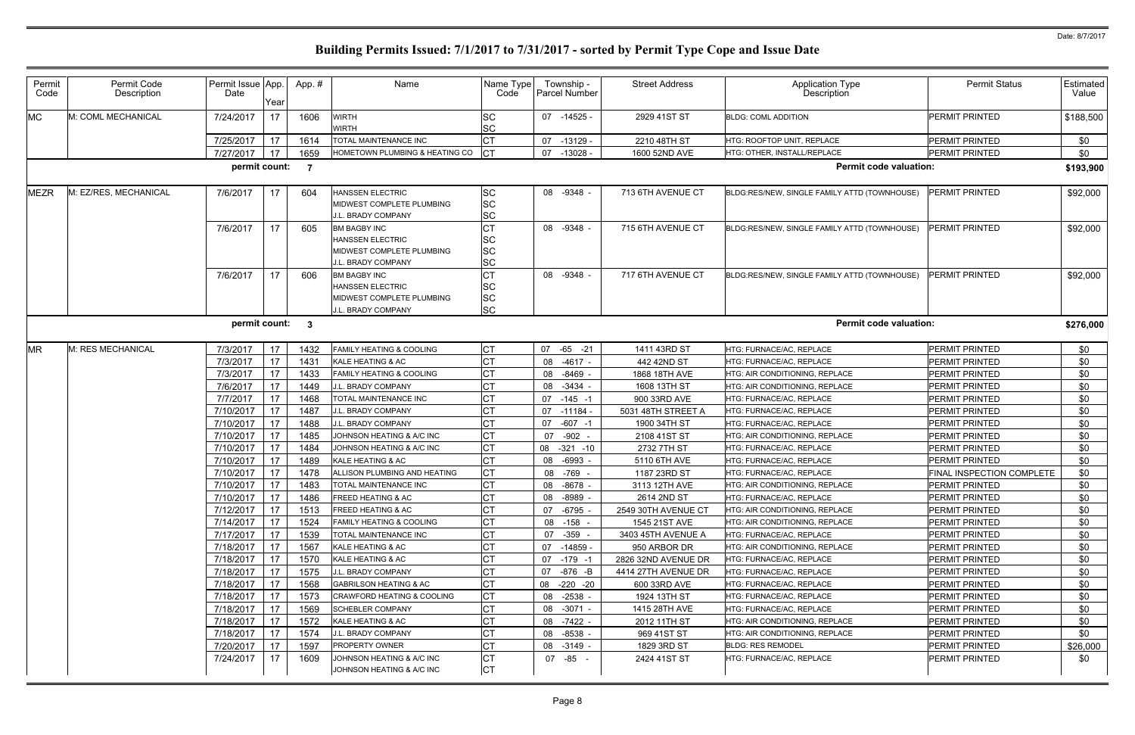| Permit    | Permit Code           | Permit Issue App. |                 | App.# | Name                                                   | Name Type              |    | Township -     | <b>Street Address</b> |                                              | <b>Permit Status</b>             | <b>Estimated</b> |
|-----------|-----------------------|-------------------|-----------------|-------|--------------------------------------------------------|------------------------|----|----------------|-----------------------|----------------------------------------------|----------------------------------|------------------|
| Code      | Description           | Date              | Year            |       |                                                        | Code                   |    | Parcel Number  |                       | Application Type<br>Description              |                                  | Value            |
| МC        | M: COML MECHANICAL    | 7/24/2017         | 17              | 1606  | <b>WIRTH</b><br><b>WIRTH</b>                           | SC<br><b>SC</b>        |    | 07 -14525 -    | 2929 41ST ST          | <b>BLDG: COML ADDITION</b>                   | <b>PERMIT PRINTED</b>            | \$188,500        |
|           |                       | 7/25/2017         | 17              | 1614  | TOTAL MAINTENANCE INC                                  | СT                     | 07 | -13129 -       | 2210 48TH ST          | HTG: ROOFTOP UNIT, REPLACE                   | <b>PERMIT PRINTED</b>            | \$0              |
|           |                       | 7/27/2017         | 17              | 1659  | HOMETOWN PLUMBING & HEATING CO                         | <b>CT</b>              |    | 07 -13028 -    | 1600 52ND AVE         | HTG: OTHER, INSTALL/REPLACE                  | PERMIT PRINTED                   | \$0              |
|           |                       | permit count:     |                 | - 7   |                                                        |                        |    |                |                       | <b>Permit code valuation:</b>                |                                  | \$193,900        |
| MEZR      | M: EZ/RES, MECHANICAL | 7/6/2017          | 17              | 604   | <b>HANSSEN ELECTRIC</b>                                | SC                     |    | 08 -9348 -     | 713 6TH AVENUE CT     | BLDG:RES/NEW, SINGLE FAMILY ATTD (TOWNHOUSE) | <b>PERMIT PRINTED</b>            | \$92,000         |
|           |                       |                   |                 |       | MIDWEST COMPLETE PLUMBING                              | <b>SC</b>              |    |                |                       |                                              |                                  |                  |
|           |                       |                   |                 |       | J.L. BRADY COMPANY                                     | <b>SC</b>              |    |                |                       |                                              |                                  |                  |
|           |                       | 7/6/2017          | 17              | 605   | <b>BM BAGBY INC</b>                                    | <b>CT</b>              |    | 08 -9348 -     | 715 6TH AVENUE CT     | BLDG:RES/NEW, SINGLE FAMILY ATTD (TOWNHOUSE) | <b>PERMIT PRINTED</b>            | \$92,000         |
|           |                       |                   |                 |       | <b>HANSSEN ELECTRIC</b>                                | <b>SC</b>              |    |                |                       |                                              |                                  |                  |
|           |                       |                   |                 |       | MIDWEST COMPLETE PLUMBING                              | <b>SC</b>              |    |                |                       |                                              |                                  |                  |
|           |                       |                   |                 |       | J.L. BRADY COMPANY                                     | SC                     |    |                |                       |                                              |                                  |                  |
|           |                       | 7/6/2017          | 17              | 606   | <b>BM BAGBY INC</b>                                    | ◡∣                     |    | 08 -9348 -     | 717 6TH AVENUE CT     | BLDG:RES/NEW, SINGLE FAMILY ATTD (TOWNHOUSE) | <b>PERMIT PRINTED</b>            | \$92,000         |
|           |                       |                   |                 |       | <b>HANSSEN ELECTRIC</b>                                | <b>SC</b>              |    |                |                       |                                              |                                  |                  |
|           |                       |                   |                 |       | MIDWEST COMPLETE PLUMBING                              | <b>SC</b>              |    |                |                       |                                              |                                  |                  |
|           |                       |                   |                 |       | J.L. BRADY COMPANY                                     | <b>SC</b>              |    |                |                       |                                              |                                  |                  |
|           |                       | permit count:     |                 | - 3   |                                                        |                        |    |                |                       | <b>Permit code valuation:</b>                |                                  | \$276,000        |
| <b>MR</b> | M: RES MECHANICAL     | 7/3/2017          | 17              | 1432  | <b>FAMILY HEATING &amp; COOLING</b>                    | <b>CT</b>              |    | 07 -65 -21     | 1411 43RD ST          | HTG: FURNACE/AC, REPLACE                     | <b>PERMIT PRINTED</b>            | \$0              |
|           |                       | 7/3/2017          | 17              | 1431  | KALE HEATING & AC                                      | <b>CT</b>              | 08 | -4617 -        | 442 42ND ST           | HTG: FURNACE/AC, REPLACE                     | PERMIT PRINTED                   | \$0              |
|           |                       | 7/3/2017          | 17              | 1433  | <b>FAMILY HEATING &amp; COOLING</b>                    |                        | 08 | -8469          | 1868 18TH AVE         | HTG: AIR CONDITIONING, REPLACE               | PERMIT PRINTED                   | \$0              |
|           |                       | 7/6/2017          | 17              | 1449  | J.L. BRADY COMPANY                                     | <b>CT</b>              | 08 | $-3434 -$      | 1608 13TH ST          | HTG: AIR CONDITIONING, REPLACE               | <b>PERMIT PRINTED</b>            | \$0              |
|           |                       | 7/7/2017          | 17              | 1468  | TOTAL MAINTENANCE INC                                  | <b>CT</b>              |    | $07 - 145 - 1$ | 900 33RD AVE          | HTG: FURNACE/AC, REPLACE                     | PERMIT PRINTED                   | \$0              |
|           |                       | 7/10/2017         | 17              | 1487  | J.L. BRADY COMPANY                                     | СT                     | 07 | ۰ 11184 -      | 5031 48TH STREET A    | HTG: FURNACE/AC, REPLACE                     | PERMIT PRINTED                   | \$0              |
|           |                       | 7/10/2017         | 17              | 1488  | J.L. BRADY COMPANY                                     |                        | 07 | $-607 - 1$     | 1900 34TH ST          | HTG: FURNACE/AC, REPLACE                     | PERMIT PRINTED                   | \$0              |
|           |                       | 7/10/2017         | 17              | 1485  | JOHNSON HEATING & A/C INC                              | <b>CT</b>              | 07 | $-902 -$       | 2108 41ST ST          | HTG: AIR CONDITIONING, REPLACE               | PERMIT PRINTED                   | \$0              |
|           |                       | 7/10/2017         | 17              | 1484  | JOHNSON HEATING & A/C INC                              | <b>CT</b>              |    | 08 -321 -10    | 2732 7TH ST           | HTG: FURNACE/AC, REPLACE                     | PERMIT PRINTED                   | \$0              |
|           |                       | 7/10/2017         | 17              | 1489  | KALE HEATING & AC                                      | <b>CT</b>              |    | 08 -6993       | 5110 6TH AVE          | HTG: FURNACE/AC, REPLACE                     | PERMIT PRINTED                   | \$0              |
|           |                       | 7/10/2017         | 17              | 1478  | ALLISON PLUMBING AND HEATING                           | СT                     |    | 08 -769        | 1187 23RD ST          | HTG: FURNACE/AC, REPLACE                     | <b>FINAL INSPECTION COMPLETE</b> | \$0              |
|           |                       | 7/10/2017         | 17              | 1483  | TOTAL MAINTENANCE INC                                  | <b>CT</b>              | 08 | -8678 -        | 3113 12TH AVE         | HTG: AIR CONDITIONING, REPLACE               | PERMIT PRINTED                   | \$0              |
|           |                       | 7/10/2017         | 17              | 1486  | <b>FREED HEATING &amp; AC</b>                          | <b>CT</b>              |    | 08 -8989 -     | 2614 2ND ST           | HTG: FURNACE/AC, REPLACE                     | <b>PERMIT PRINTED</b>            | \$0              |
|           |                       | 7/12/2017         | 17              | 1513  | <b>FREED HEATING &amp; AC</b>                          |                        |    | 07 -6795       | 2549 30TH AVENUE CT   | HTG: AIR CONDITIONING, REPLACE               | <b>PERMIT PRINTED</b>            | \$0              |
|           |                       | 7/14/2017         | 17              | 1524  | <b>FAMILY HEATING &amp; COOLING</b>                    | CT                     |    | 08 -158 -      | 1545 21ST AVE         | HTG: AIR CONDITIONING. REPLACE               | PERMIT PRINTED                   | \$0              |
|           |                       | 7/17/2017         | 17              | 1539  | TOTAL MAINTENANCE INC                                  |                        |    | 07 -359 -      | 3403 45TH AVENUE A    | HTG: FURNACE/AC, REPLACE                     | PERMIT PRINTED                   | \$0              |
|           |                       | 7/18/2017         | 17              | 1567  | KALE HEATING & AC                                      |                        |    | 07 -14859 -    | 950 ARBOR DR          | HTG: AIR CONDITIONING, REPLACE               | PERMIT PRINTED                   | \$0              |
|           |                       | 7/18/2017         | 17              | 1570  | KALE HEATING & AC                                      |                        |    | 07 -179 -1     | 2826 32ND AVENUE DR   | HTG: FURNACE/AC, REPLACE                     | <b>PERMIT PRINTED</b>            | \$0              |
|           |                       | 7/18/2017         | 17              | 1575  | J.L. BRADY COMPANY                                     | <b>CT</b>              |    | 07 -876 -B     | 4414 27TH AVENUE DR   | HTG: FURNACE/AC, REPLACE                     | PERMIT PRINTED                   | \$0              |
|           |                       | 7/18/2017         | 17              | 1568  | <b>GABRILSON HEATING &amp; AC</b>                      | СT                     |    | 08 -220 -20    | 600 33RD AVE          | HTG: FURNACE/AC, REPLACE                     | <b>PERMIT PRINTED</b>            | \$0              |
|           |                       | 7/18/2017         | 17              | 1573  | <b>CRAWFORD HEATING &amp; COOLING</b>                  | <b>CT</b>              |    | 08 -2538 -     | 1924 13TH ST          | HTG: FURNACE/AC, REPLACE                     | <b>PERMIT PRINTED</b>            | \$0              |
|           |                       | 7/18/2017         | 17              | 1569  | <b>SCHEBLER COMPANY</b>                                | <b>CT</b>              |    | 08 -3071 -     | 1415 28TH AVE         | HTG: FURNACE/AC, REPLACE                     | <b>PERMIT PRINTED</b>            | \$0              |
|           |                       | 7/18/2017         | 17              | 1572  | KALE HEATING & AC                                      |                        |    | 08 -7422 -     | 2012 11TH ST          | HTG: AIR CONDITIONING, REPLACE               | <b>PERMIT PRINTED</b>            | \$0              |
|           |                       | 7/18/2017         | 17              | 1574  | J.L. BRADY COMPANY                                     |                        |    | 08 -8538 -     | 969 41ST ST           | HTG: AIR CONDITIONING, REPLACE               | PERMIT PRINTED                   | \$0              |
|           |                       | 7/20/2017         | 17              | 1597  | <b>PROPERTY OWNER</b>                                  |                        |    | 08 -3149 -     | 1829 3RD ST           | <b>BLDG: RES REMODEL</b>                     | PERMIT PRINTED                   | \$26,000         |
|           |                       | 7/24/2017         | 17 <sup>2</sup> | 1609  | JOHNSON HEATING & A/C INC<br>JOHNSON HEATING & A/C INC | <b>CT</b><br><b>CT</b> |    | 07 -85 -       | 2424 41ST ST          | HTG: FURNACE/AC, REPLACE                     | <b>PERMIT PRINTED</b>            | \$0              |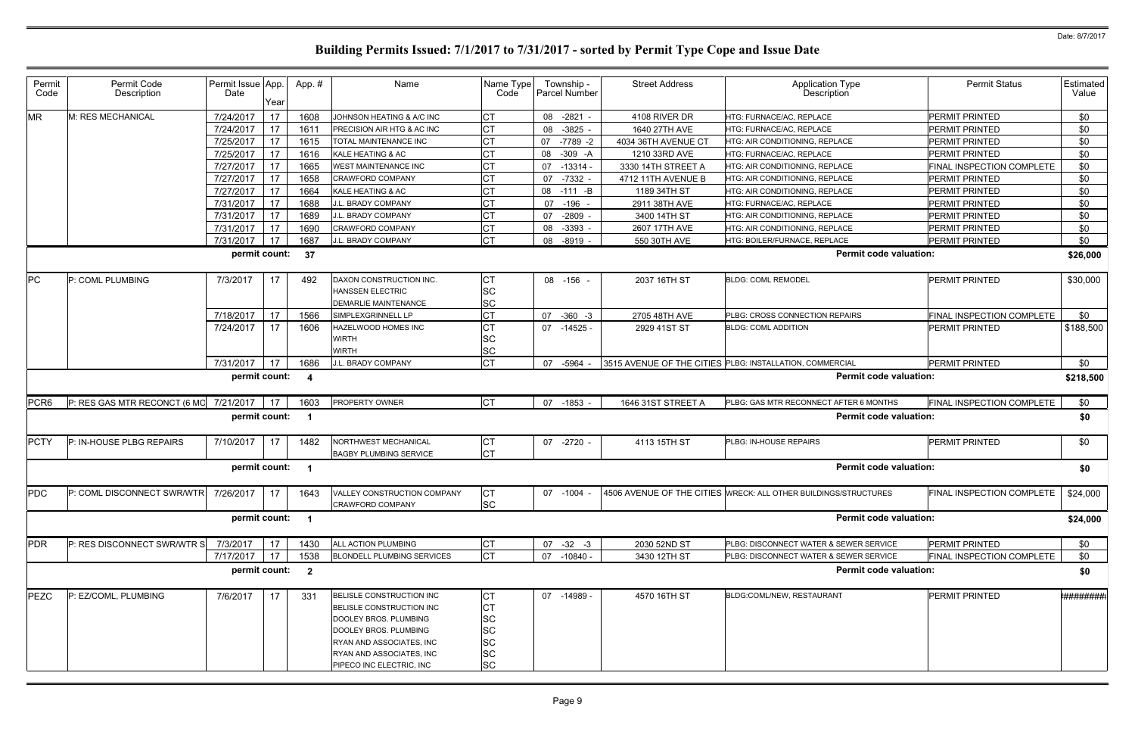| Permit<br>Code   | Permit Code<br>Description                    | Permit Issue App.<br>Date | Year | App.#                   | Name                                                                                                                                                                                       | Name Type<br>Code                                                          |    | Township -<br>Parcel Number | <b>Street Address</b> | <b>Application Type</b><br>Description                          | <b>Permit Status</b>      | Estimated<br>Value |
|------------------|-----------------------------------------------|---------------------------|------|-------------------------|--------------------------------------------------------------------------------------------------------------------------------------------------------------------------------------------|----------------------------------------------------------------------------|----|-----------------------------|-----------------------|-----------------------------------------------------------------|---------------------------|--------------------|
| <b>MR</b>        | M: RES MECHANICAL                             | 7/24/2017                 | 17   | 1608                    | JOHNSON HEATING & A/C INC                                                                                                                                                                  |                                                                            |    | 08 -2821 -                  | 4108 RIVER DR         | HTG: FURNACE/AC, REPLACE                                        | PERMIT PRINTED            | \$0                |
|                  |                                               | 7/24/2017                 | 17   | 1611                    | PRECISION AIR HTG & AC INC                                                                                                                                                                 | <b>CT</b>                                                                  | 08 | $-3825$                     | 1640 27TH AVE         | HTG: FURNACE/AC, REPLACE                                        | <b>PERMIT PRINTED</b>     | \$0                |
|                  |                                               | 7/25/2017                 | 17   | 1615                    | TOTAL MAINTENANCE INC                                                                                                                                                                      |                                                                            | 07 | -7789 -2                    | 4034 36TH AVENUE CT   | HTG: AIR CONDITIONING, REPLACE                                  | PERMIT PRINTED            | \$0                |
|                  |                                               | 7/25/2017                 | 17   | 1616                    | KALE HEATING & AC                                                                                                                                                                          |                                                                            | 08 | $-309 - A$                  | 1210 33RD AVE         | HTG: FURNACE/AC, REPLACE                                        | PERMIT PRINTED            | \$0                |
|                  |                                               | 7/27/2017                 | 17   | 1665                    | <b>WEST MAINTENANCE INC</b>                                                                                                                                                                |                                                                            | 07 | $-13314-$                   | 3330 14TH STREET A    | <b>HTG: AIR CONDITIONING, REPLACE</b>                           | FINAL INSPECTION COMPLETE | \$0                |
|                  |                                               | 7/27/2017                 | 17   | 1658                    | CRAWFORD COMPANY                                                                                                                                                                           |                                                                            | 07 | $-7332 -$                   | 4712 11TH AVENUE B    | HTG: AIR CONDITIONING, REPLACE                                  | PERMIT PRINTED            | \$0                |
|                  |                                               | 7/27/2017                 | 17   | 1664                    | KALE HEATING & AC                                                                                                                                                                          |                                                                            |    | 08 -111 -B                  | 1189 34TH ST          | HTG: AIR CONDITIONING, REPLACE                                  | PERMIT PRINTED            | \$0                |
|                  |                                               | 7/31/2017                 | 17   | 1688                    | J.L. BRADY COMPANY                                                                                                                                                                         | <b>CT</b>                                                                  |    | 07 -196                     | 2911 38TH AVE         | HTG: FURNACE/AC, REPLACE                                        | PERMIT PRINTED            | \$0                |
|                  |                                               | 7/31/2017                 | 17   | 1689                    | J.L. BRADY COMPANY                                                                                                                                                                         | СT                                                                         | 07 | -2809                       | 3400 14TH ST          | HTG: AIR CONDITIONING, REPLACE                                  | PERMIT PRINTED            | \$0                |
|                  |                                               | 7/31/2017                 | 17   | 1690                    | CRAWFORD COMPANY                                                                                                                                                                           |                                                                            | 08 | $-3393$                     | 2607 17TH AVE         | HTG: AIR CONDITIONING, REPLACE                                  | PERMIT PRINTED            | \$0                |
|                  |                                               | 7/31/2017                 | 17   | 1687                    | J.L. BRADY COMPANY                                                                                                                                                                         | <b>CT</b>                                                                  | 08 | -8919                       | 550 30TH AVE          | HTG: BOILER/FURNACE, REPLACE                                    | PERMIT PRINTED            | \$0                |
|                  |                                               | permit count:             |      | 37                      |                                                                                                                                                                                            |                                                                            |    |                             |                       | <b>Permit code valuation:</b>                                   |                           | \$26,000           |
| PC               | P: COML PLUMBING                              | 7/3/2017                  | 17   | 492                     | DAXON CONSTRUCTION INC.<br><b>HANSSEN ELECTRIC</b><br><b>DEMARLIE MAINTENANCE</b>                                                                                                          | <b>ICT</b><br><b>SC</b><br><b>SC</b>                                       |    | 08 -156                     | 2037 16TH ST          | <b>BLDG: COML REMODEL</b>                                       | PERMIT PRINTED            | \$30,000           |
|                  |                                               | 7/18/2017                 | 17   | 1566                    | SIMPLEXGRINNELL LP                                                                                                                                                                         | <b>CT</b>                                                                  | 07 | $-360 -3$                   | 2705 48TH AVE         | PLBG: CROSS CONNECTION REPAIRS                                  | FINAL INSPECTION COMPLETE | \$0                |
|                  |                                               | 7/24/2017                 | 17   | 1606                    | HAZELWOOD HOMES INC<br><b>WIRTH</b><br>WIRTH                                                                                                                                               | СT<br><b>SC</b><br>SC                                                      |    | 07 -14525 -                 | 2929 41ST ST          | <b>BLDG: COML ADDITION</b>                                      | PERMIT PRINTED            | \$188,500          |
|                  |                                               | 7/31/2017                 | 17   | 1686                    | J.L. BRADY COMPANY                                                                                                                                                                         | <b>CT</b>                                                                  | 07 | -5964                       |                       | 3515 AVENUE OF THE CITIES PLBG: INSTALLATION, COMMERCIAL        | PERMIT PRINTED            | \$0                |
|                  |                                               | permit count:             |      | -4                      |                                                                                                                                                                                            |                                                                            |    |                             |                       | <b>Permit code valuation:</b>                                   |                           | \$218,500          |
| PCR <sub>6</sub> | $P: RES GAS MTR RECONCT (6 MO 7/21/2017)$     |                           | 17   | 1603                    | <b>PROPERTY OWNER</b>                                                                                                                                                                      | <b>CT</b>                                                                  |    | 07 -1853 -                  | 1646 31ST STREET A    | PLBG: GAS MTR RECONNECT AFTER 6 MONTHS                          | FINAL INSPECTION COMPLETE | \$0                |
|                  |                                               | permit count:             |      | - 1                     |                                                                                                                                                                                            |                                                                            |    |                             |                       | <b>Permit code valuation:</b>                                   |                           | \$0                |
| <b>PCTY</b>      | P: IN-HOUSE PLBG REPAIRS                      | 7/10/2017                 | 17   | 1482                    | NORTHWEST MECHANICAL<br><b>BAGBY PLUMBING SERVICE</b>                                                                                                                                      | СT<br><b>CT</b>                                                            |    | 07 -2720                    | 4113 15TH ST          | PLBG: IN-HOUSE REPAIRS                                          | PERMIT PRINTED            | \$0                |
|                  |                                               | permit count:             |      |                         |                                                                                                                                                                                            |                                                                            |    |                             |                       | <b>Permit code valuation:</b>                                   |                           | \$0                |
| <b>PDC</b>       | $P:$ COML DISCONNECT SWR/WTR $7/26/2017$   17 |                           |      | 1643                    | VALLEY CONSTRUCTION COMPANY<br><b>CRAWFORD COMPANY</b>                                                                                                                                     | <b>CT</b><br><b>SC</b>                                                     |    | 07 -1004 -                  |                       | 4506 AVENUE OF THE CITIES WRECK: ALL OTHER BUILDINGS/STRUCTURES | FINAL INSPECTION COMPLETE | \$24,000           |
|                  |                                               | permit count:             |      |                         |                                                                                                                                                                                            |                                                                            |    |                             |                       | <b>Permit code valuation:</b>                                   |                           | \$24,000           |
| <b>PDR</b>       | P: RES DISCONNECT SWR/WTR S                   | 7/3/2017                  | 17   | 1430                    | ALL ACTION PLUMBING                                                                                                                                                                        | CТ                                                                         |    | $07 -32 -3$                 | 2030 52ND ST          | PLBG: DISCONNECT WATER & SEWER SERVICE                          | PERMIT PRINTED            | \$0                |
|                  |                                               | 7/17/2017                 | 17   | 1538                    | <b>BLONDELL PLUMBING SERVICES</b>                                                                                                                                                          | <b>CT</b>                                                                  |    | 07 -10840 -                 | 3430 12TH ST          | PLBG: DISCONNECT WATER & SEWER SERVICE                          | FINAL INSPECTION COMPLETE | \$0                |
|                  |                                               | permit count:             |      | $\overline{\mathbf{2}}$ |                                                                                                                                                                                            |                                                                            |    |                             |                       | <b>Permit code valuation:</b>                                   |                           | \$0                |
| PEZC             | P: EZ/COML, PLUMBING                          | 7/6/2017                  | 17   | 331                     | BELISLE CONSTRUCTION INC<br>BELISLE CONSTRUCTION INC<br>DOOLEY BROS. PLUMBING<br>DOOLEY BROS. PLUMBING<br>RYAN AND ASSOCIATES, INC<br>RYAN AND ASSOCIATES, INC<br>PIPECO INC ELECTRIC, INC | IСТ<br>C1<br><b>SC</b><br><b>SC</b><br><b>SC</b><br><b>SC</b><br><b>SC</b> |    | 07 -14989 -                 | 4570 16TH ST          | BLDG:COML/NEW, RESTAURANT                                       | PERMIT PRINTED            | '########;         |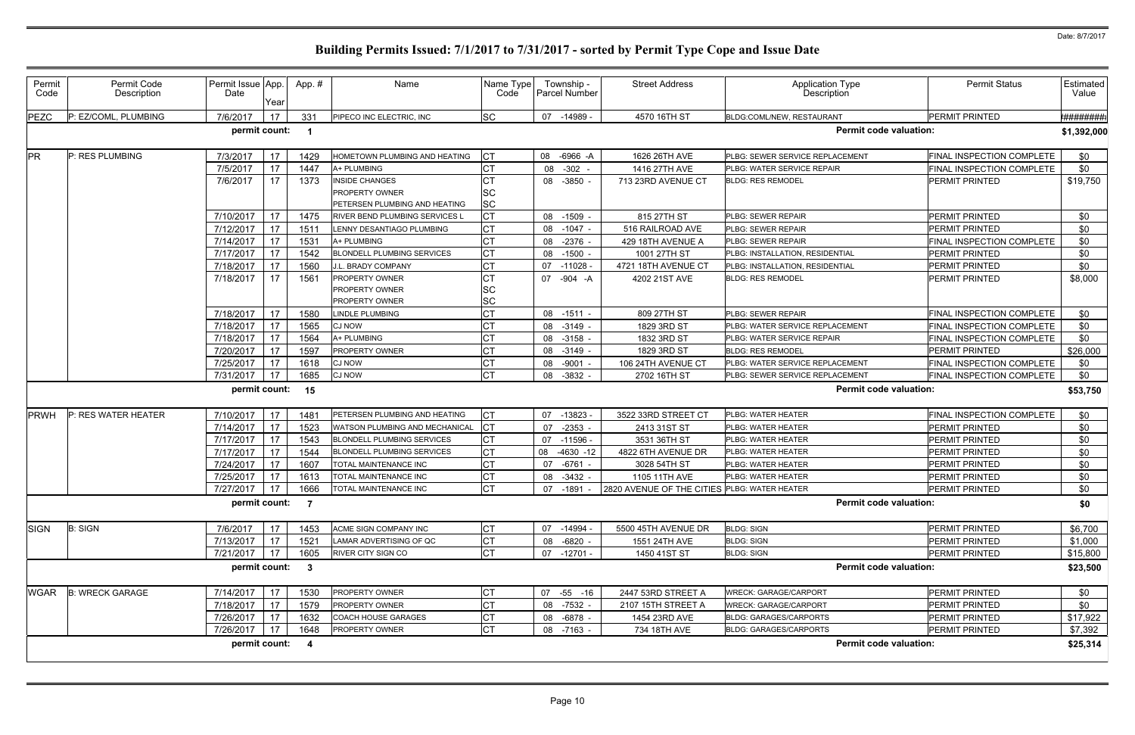| Permit<br>Code | Permit Code<br>Description | Permit Issue App.<br>Date | Year | App. #                  | Name                                                                     | Name Type<br>Code      |    | Township -<br>Parcel Number | <b>Street Address</b>                                   | Application Type<br>Description | <b>Permit Status</b>      | Estimated<br>Value   |
|----------------|----------------------------|---------------------------|------|-------------------------|--------------------------------------------------------------------------|------------------------|----|-----------------------------|---------------------------------------------------------|---------------------------------|---------------------------|----------------------|
| <b>PEZC</b>    | P: EZ/COML, PLUMBING       | 7/6/2017                  | 17   | 331                     | PIPECO INC ELECTRIC, INC                                                 | <b>SC</b>              |    | 07 -14989 -                 | 4570 16TH ST                                            | BLDG:COML/NEW, RESTAURANT       | <b>PERMIT PRINTED</b>     | <del>!########</del> |
|                |                            | permit count:             |      | - 1                     |                                                                          |                        |    |                             |                                                         | <b>Permit code valuation:</b>   |                           | \$1,392,000          |
| <b>PR</b>      | P: RES PLUMBING            | 7/3/2017                  | 17   | 1429                    | HOMETOWN PLUMBING AND HEATING                                            |                        |    | 08 -6966 -A                 | 1626 26TH AVE                                           | PLBG: SEWER SERVICE REPLACEMENT | FINAL INSPECTION COMPLETE | \$0                  |
|                |                            | 7/5/2017                  | 17   | 1447                    | A+ PLUMBING                                                              |                        | 08 | $-302 -$                    | 1416 27TH AVE                                           | PLBG: WATER SERVICE REPAIR      | FINAL INSPECTION COMPLETE | \$0                  |
|                |                            | 7/6/2017                  | 17   | 1373                    | <b>INSIDE CHANGES</b><br>PROPERTY OWNER<br>PETERSEN PLUMBING AND HEATING | <b>SC</b><br><b>SC</b> |    | 08 -3850                    | 713 23RD AVENUE CT                                      | <b>BLDG: RES REMODEL</b>        | <b>PERMIT PRINTED</b>     | \$19,750             |
|                |                            | 7/10/2017                 | 17   | 1475                    | <b>RIVER BEND PLUMBING SERVICES L</b>                                    |                        |    | 08 -1509                    | 815 27TH ST                                             | PLBG: SEWER REPAIR              | <b>PERMIT PRINTED</b>     | \$0                  |
|                |                            | 7/12/2017                 | 17   | 151'                    | LENNY DESANTIAGO PLUMBING                                                |                        |    | 08 -1047 -                  | 516 RAILROAD AVE                                        | PLBG: SEWER REPAIR              | PERMIT PRINTED            | \$0                  |
|                |                            | 7/14/2017                 | 17   | 153'                    | A+ PLUMBING                                                              |                        | 80 | -2376 -                     | 429 18TH AVENUE A                                       | PLBG: SEWER REPAIR              | FINAL INSPECTION COMPLETE | \$0                  |
|                |                            | 7/17/2017                 | 17   | 1542                    | <b>BLONDELL PLUMBING SERVICES</b>                                        |                        |    | 08 -1500 -                  | 1001 27TH ST                                            | PLBG: INSTALLATION, RESIDENTIAL | PERMIT PRINTED            | \$0                  |
|                |                            | 7/18/2017                 | 17   | 1560                    | I.L. BRADY COMPANY                                                       |                        |    | 07 -11028                   | 4721 18TH AVENUE CT                                     | PLBG: INSTALLATION, RESIDENTIAL | <b>PERMIT PRINTED</b>     | \$0                  |
|                |                            | 7/18/2017                 | 17   | 1561                    | <b>PROPERTY OWNER</b><br><b>PROPERTY OWNER</b><br>PROPERTY OWNER         | <b>SC</b><br><b>SC</b> |    | 07 -904 -A                  | 4202 21ST AVE                                           | <b>BLDG: RES REMODEL</b>        | PERMIT PRINTED            | \$8,000              |
|                |                            | 7/18/2017                 | 17   | 1580                    | LINDLE PLUMBING                                                          |                        |    | 08 -1511 -                  | 809 27TH ST                                             | PLBG: SEWER REPAIR              | FINAL INSPECTION COMPLETE | \$0                  |
|                |                            | 7/18/2017                 | 17   | 1565                    | <b>CJ NOW</b>                                                            |                        |    | 08 -3149                    | 1829 3RD ST                                             | PLBG: WATER SERVICE REPLACEMENT | FINAL INSPECTION COMPLETE | \$0                  |
|                |                            | 7/18/2017                 | 17   | 1564                    | A+ PLUMBING                                                              |                        | 80 | -3158                       | 1832 3RD ST                                             | PLBG: WATER SERVICE REPAIR      | FINAL INSPECTION COMPLETE | \$0                  |
|                |                            | 7/20/2017                 | 17   | 1597                    | PROPERTY OWNER                                                           |                        |    | 08 -3149                    | 1829 3RD ST                                             | <b>BLDG: RES REMODEL</b>        | PERMIT PRINTED            | \$26,000             |
|                |                            | 7/25/2017                 | 17   | 1618                    | CJ NOW                                                                   |                        | 08 | $-9001 -$                   | 106 24TH AVENUE CT                                      | PLBG: WATER SERVICE REPLACEMENT | FINAL INSPECTION COMPLETE | \$0                  |
|                |                            | 7/31/2017                 | 17   | 1685                    | <b>CJ NOW</b>                                                            |                        | 08 | $-3832 -$                   | 2702 16TH ST                                            | PLBG: SEWER SERVICE REPLACEMENT | FINAL INSPECTION COMPLETE | \$0                  |
|                |                            | permit count:             |      | 15                      |                                                                          |                        |    |                             |                                                         | <b>Permit code valuation:</b>   |                           | \$53,750             |
| <b>PRWH</b>    | P: RES WATER HEATER        | 7/10/2017                 | 17   | 1481                    | PETERSEN PLUMBING AND HEATING                                            |                        | 07 | $-13823$                    | 3522 33RD STREET CT                                     | PLBG: WATER HEATER              | FINAL INSPECTION COMPLETE | \$0                  |
|                |                            | 7/14/2017                 | 17   | 1523                    | WATSON PLUMBING AND MECHANICAL                                           | СT                     |    | 07 -2353                    | 2413 31ST ST                                            | PLBG: WATER HEATER              | PERMIT PRINTED            | \$0                  |
|                |                            | 7/17/2017                 | 17   | 1543                    | <b>BLONDELL PLUMBING SERVICES</b>                                        |                        |    | 07 -11596                   | 3531 36TH ST                                            | PLBG: WATER HEATER              | PERMIT PRINTED            | \$0                  |
|                |                            | 7/17/2017                 | 17   | 1544                    | <b>BLONDELL PLUMBING SERVICES</b>                                        |                        | 08 | $-4630 - 12$                | 4822 6TH AVENUE DR                                      | PLBG: WATER HEATER              | <b>PERMIT PRINTED</b>     | \$0                  |
|                |                            | 7/24/2017                 | 17   | 1607                    | TOTAL MAINTENANCE INC                                                    |                        | 07 | -6761 -                     | 3028 54TH ST                                            | PLBG: WATER HEATER              | PERMIT PRINTED            | \$0                  |
|                |                            | 7/25/2017                 | 17   | 1613                    | TOTAL MAINTENANCE INC                                                    |                        | 08 | $-3432 -$                   | 1105 11TH AVE                                           | PLBG: WATER HEATER              | PERMIT PRINTED            | \$0                  |
|                |                            |                           |      |                         | 7/27/2017   17   1666   TOTAL MAINTENANCE INC                            | <b>CT</b>              |    |                             | 07 -1891 - 2820 AVENUE OF THE CITIES PLBG: WATER HEATER |                                 | PERMIT PRINTED            | \$0                  |
|                |                            | permit count: 7           |      |                         |                                                                          |                        |    |                             |                                                         | <b>Permit code valuation:</b>   |                           | \$0                  |
| <b>SIGN</b>    | <b>B: SIGN</b>             | 7/6/2017                  | 17   | 1453                    | ACME SIGN COMPANY INC                                                    |                        |    | 07 -14994 -                 | 5500 45TH AVENUE DR                                     | <b>BLDG: SIGN</b>               | PERMIT PRINTED            | \$6,700              |
|                |                            | 7/13/2017                 | 17   | 1521                    | LAMAR ADVERTISING OF QC                                                  |                        |    | 08 -6820 -                  | 1551 24TH AVE                                           | <b>BLDG: SIGN</b>               | PERMIT PRINTED            | \$1,000              |
|                |                            | 7/21/2017                 | 17   | 1605                    | RIVER CITY SIGN CO                                                       | IСТ                    |    | 07 -12701 -                 | 1450 41ST ST                                            | <b>BLDG: SIGN</b>               | PERMIT PRINTED            | \$15,800             |
|                |                            | permit count: 3           |      |                         |                                                                          |                        |    |                             |                                                         | Permit code valuation:          |                           | \$23,500             |
| <b>WGAR</b>    | <b>B: WRECK GARAGE</b>     | 7/14/2017                 | 17   | 1530                    | PROPERTY OWNER                                                           |                        |    | 07 -55 -16                  | 2447 53RD STREET A                                      | <b>WRECK: GARAGE/CARPORT</b>    | PERMIT PRINTED            | \$0                  |
|                |                            | 7/18/2017                 | 17   | 1579                    | <b>PROPERTY OWNER</b>                                                    |                        |    | 08 -7532 -                  | 2107 15TH STREET A                                      | <b>WRECK: GARAGE/CARPORT</b>    | PERMIT PRINTED            | \$0                  |
|                |                            | 7/26/2017                 | 17   | 1632                    | COACH HOUSE GARAGES                                                      |                        |    | 08 -6878 -                  | 1454 23RD AVE                                           | BLDG: GARAGES/CARPORTS          | PERMIT PRINTED            | \$17,922             |
|                |                            | 7/26/2017                 | 17   | 1648                    | <b>PROPERTY OWNER</b>                                                    |                        |    | 08 -7163 -                  | 734 18TH AVE                                            | BLDG: GARAGES/CARPORTS          | PERMIT PRINTED            | \$7,392              |
|                |                            | permit count:             |      | $\overline{\mathbf{4}}$ |                                                                          |                        |    |                             |                                                         | <b>Permit code valuation:</b>   |                           | \$25,314             |